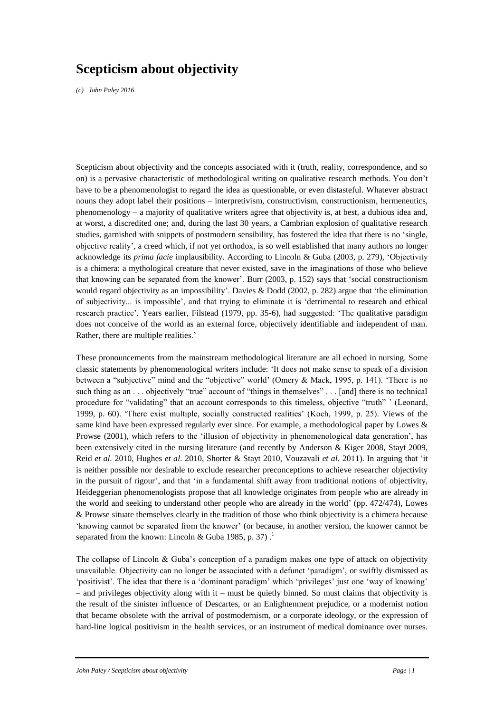# **Scepticism about objectivity**

*(c) John Paley 2016*

Scepticism about objectivity and the concepts associated with it (truth, reality, correspondence, and so on) is a pervasive characteristic of methodological writing on qualitative research methods. You don't have to be a phenomenologist to regard the idea as questionable, or even distasteful. Whatever abstract nouns they adopt label their positions – interpretivism, constructivism, constructionism, hermeneutics, phenomenology – a majority of qualitative writers agree that objectivity is, at best, a dubious idea and, at worst, a discredited one; and, during the last 30 years, a Cambrian explosion of qualitative research studies, garnished with snippets of postmodern sensibility, has fostered the idea that there is no 'single, objective reality', a creed which, if not yet orthodox, is so well established that many authors no longer acknowledge its *prima facie* implausibility. According to Lincoln & Guba (2003, p. 279), 'Objectivity is a chimera: a mythological creature that never existed, save in the imaginations of those who believe that knowing can be separated from the knower'. Burr (2003, p. 152) says that 'social constructionism would regard objectivity as an impossibility'. Davies & Dodd (2002, p. 282) argue that 'the elimination of subjectivity... is impossible', and that trying to eliminate it is 'detrimental to research and ethical research practice'. Years earlier, Filstead (1979, pp. 35-6), had suggested: 'The qualitative paradigm does not conceive of the world as an external force, objectively identifiable and independent of man. Rather, there are multiple realities.'

These pronouncements from the mainstream methodological literature are all echoed in nursing. Some classic statements by phenomenological writers include: 'It does not make sense to speak of a division between a "subjective" mind and the "objective" world' (Omery & Mack, 1995, p. 141). 'There is no such thing as an . . . objectively "true" account of "things in themselves" . . . [and] there is no technical procedure for "validating" that an account corresponds to this timeless, objective "truth" ' (Leonard, 1999, p. 60). 'There exist multiple, socially constructed realities' (Koch, 1999, p. 25). Views of the same kind have been expressed regularly ever since. For example, a methodological paper by Lowes & Prowse (2001), which refers to the 'illusion of objectivity in phenomenological data generation', has been extensively cited in the nursing literature (and recently by Anderson & Kiger 2008, Stayt 2009, Reid *et al.* 2010, Hughes *et al.* 2010, Shorter & Stayt 2010, Vouzavali *et al.* 2011). In arguing that 'it is neither possible nor desirable to exclude researcher preconceptions to achieve researcher objectivity in the pursuit of rigour', and that 'in a fundamental shift away from traditional notions of objectivity, Heideggerian phenomenologists propose that all knowledge originates from people who are already in the world and seeking to understand other people who are already in the world' (pp. 472/474), Lowes & Prowse situate themselves clearly in the tradition of those who think objectivity is a chimera because 'knowing cannot be separated from the knower' (or because, in another version, the knower cannot be separated from the known: Lincoln & Guba 1985, p. 37).<sup>1</sup>

The collapse of Lincoln & Guba's conception of a paradigm makes one type of attack on objectivity unavailable. Objectivity can no longer be associated with a defunct 'paradigm', or swiftly dismissed as 'positivist'. The idea that there is a 'dominant paradigm' which 'privileges' just one 'way of knowing' – and privileges objectivity along with it – must be quietly binned. So must claims that objectivity is the result of the sinister influence of Descartes, or an Enlightenment prejudice, or a modernist notion that became obsolete with the arrival of postmodernism, or a corporate ideology, or the expression of hard-line logical positivism in the health services, or an instrument of medical dominance over nurses.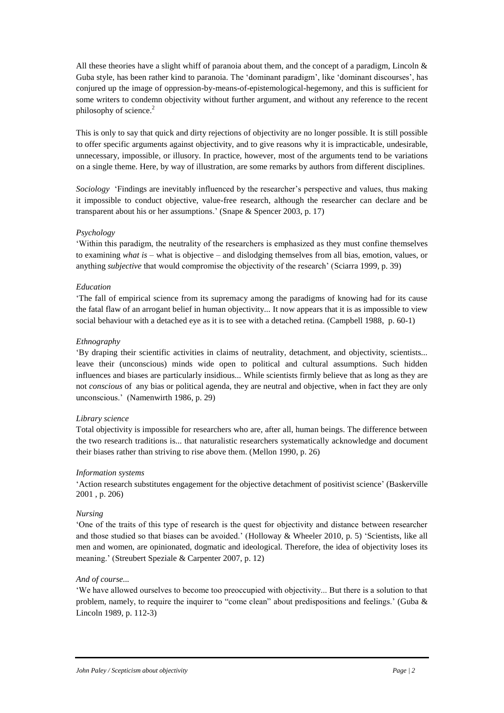All these theories have a slight whiff of paranoia about them, and the concept of a paradigm, Lincoln  $\&$ Guba style, has been rather kind to paranoia. The 'dominant paradigm', like 'dominant discourses', has conjured up the image of oppression-by-means-of-epistemological-hegemony, and this is sufficient for some writers to condemn objectivity without further argument, and without any reference to the recent philosophy of science.<sup>2</sup>

This is only to say that quick and dirty rejections of objectivity are no longer possible. It is still possible to offer specific arguments against objectivity, and to give reasons why it is impracticable, undesirable, unnecessary, impossible, or illusory. In practice, however, most of the arguments tend to be variations on a single theme. Here, by way of illustration, are some remarks by authors from different disciplines.

*Sociology* 'Findings are inevitably influenced by the researcher's perspective and values, thus making it impossible to conduct objective, value-free research, although the researcher can declare and be transparent about his or her assumptions.' (Snape & Spencer 2003, p. 17)

## *Psychology*

'Within this paradigm, the neutrality of the researchers is emphasized as they must confine themselves to examining *what is* – what is objective – and dislodging themselves from all bias, emotion, values, or anything *subjective* that would compromise the objectivity of the research' (Sciarra 1999, p. 39)

## *Education*

'The fall of empirical science from its supremacy among the paradigms of knowing had for its cause the fatal flaw of an arrogant belief in human objectivity... It now appears that it is as impossible to view social behaviour with a detached eye as it is to see with a detached retina. (Campbell 1988, p. 60-1)

## *Ethnography*

'By draping their scientific activities in claims of neutrality, detachment, and objectivity, scientists... leave their (unconscious) minds wide open to political and cultural assumptions. Such hidden influences and biases are particularly insidious... While scientists firmly believe that as long as they are not *conscious* of any bias or political agenda, they are neutral and objective, when in fact they are only unconscious.' (Namenwirth 1986, p. 29)

## *Library science*

Total objectivity is impossible for researchers who are, after all, human beings. The difference between the two research traditions is... that naturalistic researchers systematically acknowledge and document their biases rather than striving to rise above them. (Mellon 1990, p. 26)

## *Information systems*

'Action research substitutes engagement for the objective detachment of positivist science' (Baskerville 2001 , p. 206)

# *Nursing*

'One of the traits of this type of research is the quest for objectivity and distance between researcher and those studied so that biases can be avoided.' (Holloway & Wheeler 2010, p. 5) 'Scientists, like all men and women, are opinionated, dogmatic and ideological. Therefore, the idea of objectivity loses its meaning.' (Streubert Speziale & Carpenter 2007, p. 12)

# *And of course...*

'We have allowed ourselves to become too preoccupied with objectivity... But there is a solution to that problem, namely, to require the inquirer to "come clean" about predispositions and feelings.' (Guba & Lincoln 1989, p. 112-3)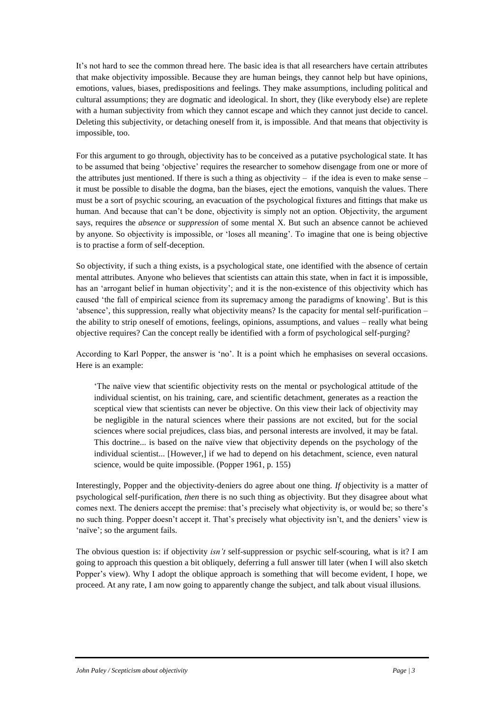It's not hard to see the common thread here. The basic idea is that all researchers have certain attributes that make objectivity impossible. Because they are human beings, they cannot help but have opinions, emotions, values, biases, predispositions and feelings. They make assumptions, including political and cultural assumptions; they are dogmatic and ideological. In short, they (like everybody else) are replete with a human subjectivity from which they cannot escape and which they cannot just decide to cancel. Deleting this subjectivity, or detaching oneself from it, is impossible. And that means that objectivity is impossible, too.

For this argument to go through, objectivity has to be conceived as a putative psychological state. It has to be assumed that being 'objective' requires the researcher to somehow disengage from one or more of the attributes just mentioned. If there is such a thing as objectivity  $-$  if the idea is even to make sense  $$ it must be possible to disable the dogma, ban the biases, eject the emotions, vanquish the values. There must be a sort of psychic scouring, an evacuation of the psychological fixtures and fittings that make us human. And because that can't be done, objectivity is simply not an option. Objectivity, the argument says, requires the *absence* or *suppression* of some mental X. But such an absence cannot be achieved by anyone. So objectivity is impossible, or 'loses all meaning'. To imagine that one is being objective is to practise a form of self-deception.

So objectivity, if such a thing exists, is a psychological state, one identified with the absence of certain mental attributes. Anyone who believes that scientists can attain this state, when in fact it is impossible, has an 'arrogant belief in human objectivity'; and it is the non-existence of this objectivity which has caused 'the fall of empirical science from its supremacy among the paradigms of knowing'. But is this 'absence', this suppression, really what objectivity means? Is the capacity for mental self-purification – the ability to strip oneself of emotions, feelings, opinions, assumptions, and values – really what being objective requires? Can the concept really be identified with a form of psychological self-purging?

According to Karl Popper, the answer is 'no'. It is a point which he emphasises on several occasions. Here is an example:

'The naïve view that scientific objectivity rests on the mental or psychological attitude of the individual scientist, on his training, care, and scientific detachment, generates as a reaction the sceptical view that scientists can never be objective. On this view their lack of objectivity may be negligible in the natural sciences where their passions are not excited, but for the social sciences where social prejudices, class bias, and personal interests are involved, it may be fatal. This doctrine... is based on the naïve view that objectivity depends on the psychology of the individual scientist... [However,] if we had to depend on his detachment, science, even natural science, would be quite impossible. (Popper 1961, p. 155)

Interestingly, Popper and the objectivity-deniers do agree about one thing. *If* objectivity is a matter of psychological self-purification, *then* there is no such thing as objectivity. But they disagree about what comes next. The deniers accept the premise: that's precisely what objectivity is, or would be; so there's no such thing. Popper doesn't accept it. That's precisely what objectivity isn't, and the deniers' view is 'naïve'; so the argument fails.

The obvious question is: if objectivity *isn't* self-suppression or psychic self-scouring, what is it? I am going to approach this question a bit obliquely, deferring a full answer till later (when I will also sketch Popper's view). Why I adopt the oblique approach is something that will become evident, I hope, we proceed. At any rate, I am now going to apparently change the subject, and talk about visual illusions.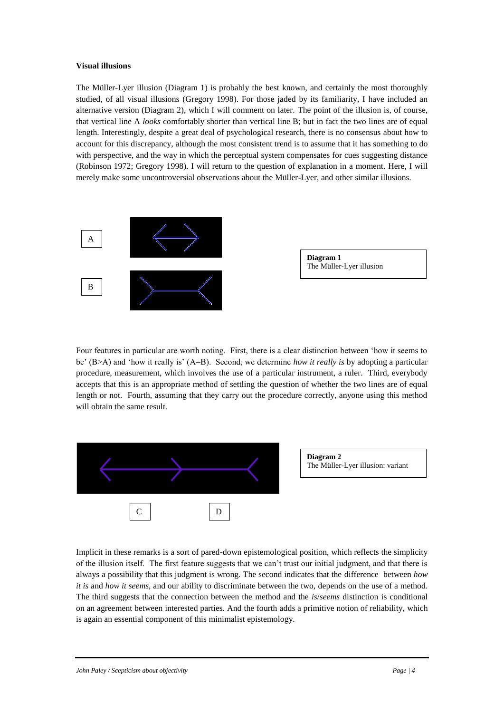## **Visual illusions**

The Müller-Lyer illusion (Diagram 1) is probably the best known, and certainly the most thoroughly studied, of all visual illusions (Gregory 1998). For those jaded by its familiarity, I have included an alternative version (Diagram 2), which I will comment on later. The point of the illusion is, of course, that vertical line A *looks* comfortably shorter than vertical line B; but in fact the two lines are of equal length. Interestingly, despite a great deal of psychological research, there is no consensus about how to account for this discrepancy, although the most consistent trend is to assume that it has something to do with perspective, and the way in which the perceptual system compensates for cues suggesting distance (Robinson 1972; Gregory 1998). I will return to the question of explanation in a moment. Here, I will merely make some uncontroversial observations about the Müller-Lyer, and other similar illusions.



Four features in particular are worth noting. First, there is a clear distinction between 'how it seems to be' (B>A) and 'how it really is' (A=B). Second, we determine *how it really is* by adopting a particular procedure, measurement, which involves the use of a particular instrument, a ruler. Third, everybody accepts that this is an appropriate method of settling the question of whether the two lines are of equal length or not. Fourth, assuming that they carry out the procedure correctly, anyone using this method will obtain the same result.



Implicit in these remarks is a sort of pared-down epistemological position, which reflects the simplicity of the illusion itself. The first feature suggests that we can't trust our initial judgment, and that there is always a possibility that this judgment is wrong. The second indicates that the difference between *how it is* and *how it seems*, and our ability to discriminate between the two, depends on the use of a method. The third suggests that the connection between the method and the *is*/*seems* distinction is conditional on an agreement between interested parties. And the fourth adds a primitive notion of reliability, which is again an essential component of this minimalist epistemology.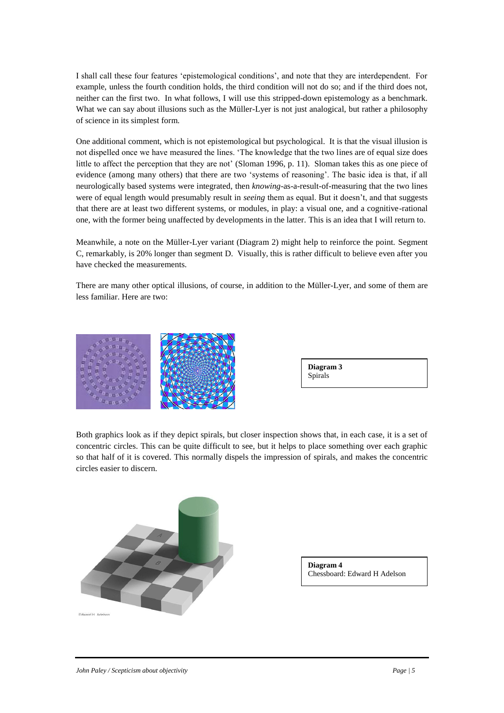I shall call these four features 'epistemological conditions', and note that they are interdependent. For example, unless the fourth condition holds, the third condition will not do so; and if the third does not, neither can the first two. In what follows, I will use this stripped-down epistemology as a benchmark. What we can say about illusions such as the Müller-Lyer is not just analogical, but rather a philosophy of science in its simplest form.

One additional comment, which is not epistemological but psychological. It is that the visual illusion is not dispelled once we have measured the lines. 'The knowledge that the two lines are of equal size does little to affect the perception that they are not' (Sloman 1996, p. 11). Sloman takes this as one piece of evidence (among many others) that there are two 'systems of reasoning'. The basic idea is that, if all neurologically based systems were integrated, then *knowing*-as-a-result-of-measuring that the two lines were of equal length would presumably result in *seeing* them as equal. But it doesn't, and that suggests that there are at least two different systems, or modules, in play: a visual one, and a cognitive-rational one, with the former being unaffected by developments in the latter. This is an idea that I will return to.

Meanwhile, a note on the Müller-Lyer variant (Diagram 2) might help to reinforce the point. Segment C, remarkably, is 20% longer than segment D. Visually, this is rather difficult to believe even after you have checked the measurements.

There are many other optical illusions, of course, in addition to the Müller-Lyer, and some of them are less familiar. Here are two:



Both graphics look as if they depict spirals, but closer inspection shows that, in each case, it is a set of concentric circles. This can be quite difficult to see, but it helps to place something over each graphic so that half of it is covered. This normally dispels the impression of spirals, and makes the concentric circles easier to discern.



**Diagram 4**  Chessboard: Edward H Adelson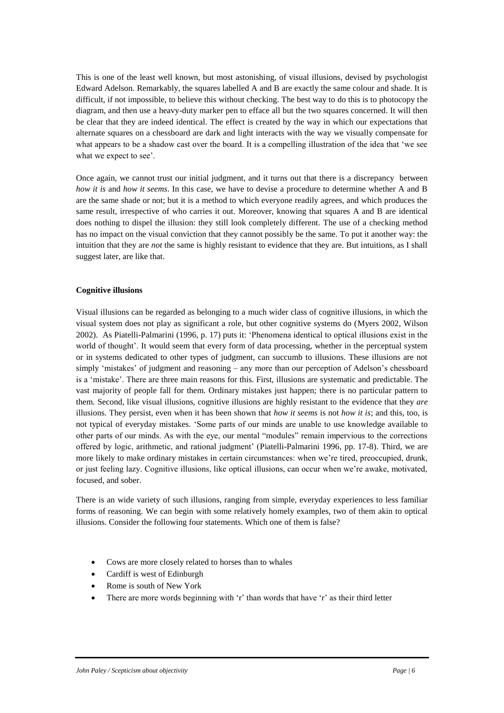This is one of the least well known, but most astonishing, of visual illusions, devised by psychologist Edward Adelson. Remarkably, the squares labelled A and B are exactly the same colour and shade. It is difficult, if not impossible, to believe this without checking. The best way to do this is to photocopy the diagram, and then use a heavy-duty marker pen to efface all but the two squares concerned. It will then be clear that they are indeed identical. The effect is created by the way in which our expectations that alternate squares on a chessboard are dark and light interacts with the way we visually compensate for what appears to be a shadow cast over the board. It is a compelling illustration of the idea that 'we see what we expect to see'.

Once again, we cannot trust our initial judgment, and it turns out that there is a discrepancy between *how it is* and *how it seems*. In this case, we have to devise a procedure to determine whether A and B are the same shade or not; but it is a method to which everyone readily agrees, and which produces the same result, irrespective of who carries it out. Moreover, knowing that squares A and B are identical does nothing to dispel the illusion: they still look completely different. The use of a checking method has no impact on the visual conviction that they cannot possibly be the same. To put it another way: the intuition that they are *not* the same is highly resistant to evidence that they are. But intuitions, as I shall suggest later, are like that.

## **Cognitive illusions**

Visual illusions can be regarded as belonging to a much wider class of cognitive illusions, in which the visual system does not play as significant a role, but other cognitive systems do (Myers 2002, Wilson 2002). As Piatelli-Palmarini (1996, p. 17) puts it: 'Phenomena identical to optical illusions exist in the world of thought'. It would seem that every form of data processing, whether in the perceptual system or in systems dedicated to other types of judgment, can succumb to illusions. These illusions are not simply 'mistakes' of judgment and reasoning – any more than our perception of Adelson's chessboard is a 'mistake'. There are three main reasons for this. First, illusions are systematic and predictable. The vast majority of people fall for them. Ordinary mistakes just happen; there is no particular pattern to them. Second, like visual illusions, cognitive illusions are highly resistant to the evidence that they *are* illusions. They persist, even when it has been shown that *how it seems* is not *how it is*; and this, too, is not typical of everyday mistakes. 'Some parts of our minds are unable to use knowledge available to other parts of our minds. As with the eye, our mental "modules" remain impervious to the corrections offered by logic, arithmetic, and rational judgment' (Piatelli-Palmarini 1996, pp. 17-8). Third, we are more likely to make ordinary mistakes in certain circumstances: when we're tired, preoccupied, drunk, or just feeling lazy. Cognitive illusions, like optical illusions, can occur when we're awake, motivated, focused, and sober.

There is an wide variety of such illusions, ranging from simple, everyday experiences to less familiar forms of reasoning. We can begin with some relatively homely examples, two of them akin to optical illusions. Consider the following four statements. Which one of them is false?

- Cows are more closely related to horses than to whales
- Cardiff is west of Edinburgh
- Rome is south of New York
- There are more words beginning with 'r' than words that have 'r' as their third letter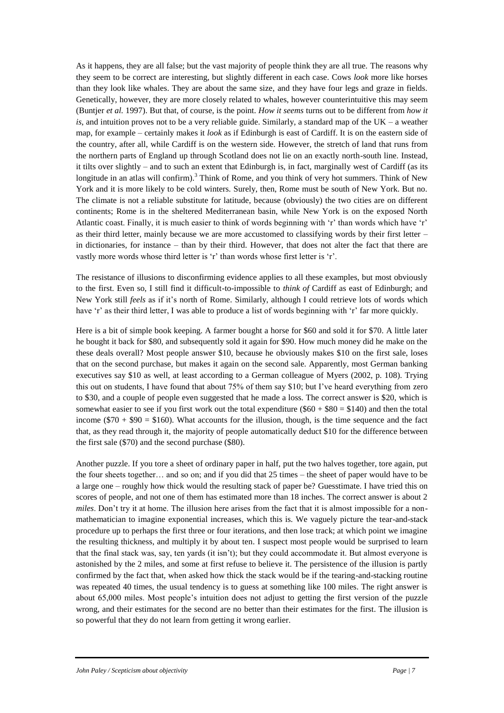As it happens, they are all false; but the vast majority of people think they are all true. The reasons why they seem to be correct are interesting, but slightly different in each case. Cows *look* more like horses than they look like whales. They are about the same size, and they have four legs and graze in fields. Genetically, however, they are more closely related to whales, however counterintuitive this may seem (Buntjer *et al.* 1997). But that, of course, is the point. *How it seems* turns out to be different from *how it is*, and intuition proves not to be a very reliable guide. Similarly, a standard map of the UK – a weather map, for example – certainly makes it *look* as if Edinburgh is east of Cardiff. It is on the eastern side of the country, after all, while Cardiff is on the western side. However, the stretch of land that runs from the northern parts of England up through Scotland does not lie on an exactly north-south line. Instead, it tilts over slightly – and to such an extent that Edinburgh is, in fact, marginally west of Cardiff (as its longitude in an atlas will confirm).<sup>3</sup> Think of Rome, and you think of very hot summers. Think of New York and it is more likely to be cold winters. Surely, then, Rome must be south of New York. But no. The climate is not a reliable substitute for latitude, because (obviously) the two cities are on different continents; Rome is in the sheltered Mediterranean basin, while New York is on the exposed North Atlantic coast. Finally, it is much easier to think of words beginning with 'r' than words which have 'r' as their third letter, mainly because we are more accustomed to classifying words by their first letter – in dictionaries, for instance – than by their third. However, that does not alter the fact that there are vastly more words whose third letter is 'r' than words whose first letter is 'r'.

The resistance of illusions to disconfirming evidence applies to all these examples, but most obviously to the first. Even so, I still find it difficult-to-impossible to *think of* Cardiff as east of Edinburgh; and New York still *feels* as if it's north of Rome. Similarly, although I could retrieve lots of words which have 'r' as their third letter, I was able to produce a list of words beginning with 'r' far more quickly.

Here is a bit of simple book keeping. A farmer bought a horse for \$60 and sold it for \$70. A little later he bought it back for \$80, and subsequently sold it again for \$90. How much money did he make on the these deals overall? Most people answer \$10, because he obviously makes \$10 on the first sale, loses that on the second purchase, but makes it again on the second sale. Apparently, most German banking executives say \$10 as well, at least according to a German colleague of Myers (2002, p. 108). Trying this out on students, I have found that about 75% of them say \$10; but I've heard everything from zero to \$30, and a couple of people even suggested that he made a loss. The correct answer is \$20, which is somewhat easier to see if you first work out the total expenditure ( $$60 + $80 = $140$ ) and then the total income ( $$70 + $90 = $160$ ). What accounts for the illusion, though, is the time sequence and the fact that, as they read through it, the majority of people automatically deduct \$10 for the difference between the first sale (\$70) and the second purchase (\$80).

Another puzzle. If you tore a sheet of ordinary paper in half, put the two halves together, tore again, put the four sheets together… and so on; and if you did that 25 times – the sheet of paper would have to be a large one – roughly how thick would the resulting stack of paper be? Guesstimate. I have tried this on scores of people, and not one of them has estimated more than 18 inches. The correct answer is about 2 *miles*. Don't try it at home. The illusion here arises from the fact that it is almost impossible for a nonmathematician to imagine exponential increases, which this is. We vaguely picture the tear-and-stack procedure up to perhaps the first three or four iterations, and then lose track; at which point we imagine the resulting thickness, and multiply it by about ten. I suspect most people would be surprised to learn that the final stack was, say, ten yards (it isn't); but they could accommodate it. But almost everyone is astonished by the 2 miles, and some at first refuse to believe it. The persistence of the illusion is partly confirmed by the fact that, when asked how thick the stack would be if the tearing-and-stacking routine was repeated 40 times, the usual tendency is to guess at something like 100 miles. The right answer is about 65,000 miles. Most people's intuition does not adjust to getting the first version of the puzzle wrong, and their estimates for the second are no better than their estimates for the first. The illusion is so powerful that they do not learn from getting it wrong earlier.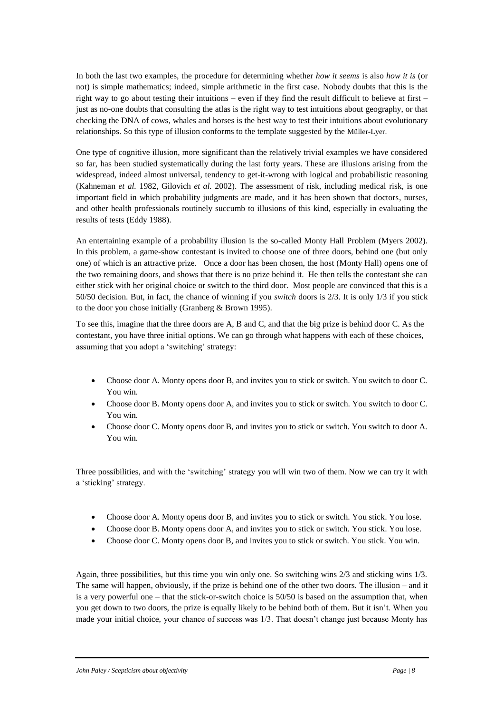In both the last two examples, the procedure for determining whether *how it seems* is also *how it is* (or not) is simple mathematics; indeed, simple arithmetic in the first case. Nobody doubts that this is the right way to go about testing their intuitions – even if they find the result difficult to believe at first – just as no-one doubts that consulting the atlas is the right way to test intuitions about geography, or that checking the DNA of cows, whales and horses is the best way to test their intuitions about evolutionary relationships. So this type of illusion conforms to the template suggested by the Müller-Lyer.

One type of cognitive illusion, more significant than the relatively trivial examples we have considered so far, has been studied systematically during the last forty years. These are illusions arising from the widespread, indeed almost universal, tendency to get-it-wrong with logical and probabilistic reasoning (Kahneman *et al.* 1982, Gilovich *et al.* 2002). The assessment of risk, including medical risk, is one important field in which probability judgments are made, and it has been shown that doctors, nurses, and other health professionals routinely succumb to illusions of this kind, especially in evaluating the results of tests (Eddy 1988).

An entertaining example of a probability illusion is the so-called Monty Hall Problem (Myers 2002). In this problem, a game-show contestant is invited to choose one of three doors, behind one (but only one) of which is an attractive prize. Once a door has been chosen, the host (Monty Hall) opens one of the two remaining doors, and shows that there is no prize behind it. He then tells the contestant she can either stick with her original choice or switch to the third door. Most people are convinced that this is a 50/50 decision. But, in fact, the chance of winning if you *switch* doors is 2/3. It is only 1/3 if you stick to the door you chose initially (Granberg & Brown 1995).

To see this, imagine that the three doors are A, B and C, and that the big prize is behind door C. As the contestant, you have three initial options. We can go through what happens with each of these choices, assuming that you adopt a 'switching' strategy:

- Choose door A. Monty opens door B, and invites you to stick or switch. You switch to door C. You win.
- Choose door B. Monty opens door A, and invites you to stick or switch. You switch to door C. You win.
- Choose door C. Monty opens door B, and invites you to stick or switch. You switch to door A. You win.

Three possibilities, and with the 'switching' strategy you will win two of them. Now we can try it with a 'sticking' strategy.

- Choose door A. Monty opens door B, and invites you to stick or switch. You stick. You lose.
- Choose door B. Monty opens door A, and invites you to stick or switch. You stick. You lose.
- Choose door C. Monty opens door B, and invites you to stick or switch. You stick. You win.

Again, three possibilities, but this time you win only one. So switching wins 2/3 and sticking wins 1/3. The same will happen, obviously, if the prize is behind one of the other two doors. The illusion – and it is a very powerful one – that the stick-or-switch choice is 50/50 is based on the assumption that, when you get down to two doors, the prize is equally likely to be behind both of them. But it isn't. When you made your initial choice, your chance of success was 1/3. That doesn't change just because Monty has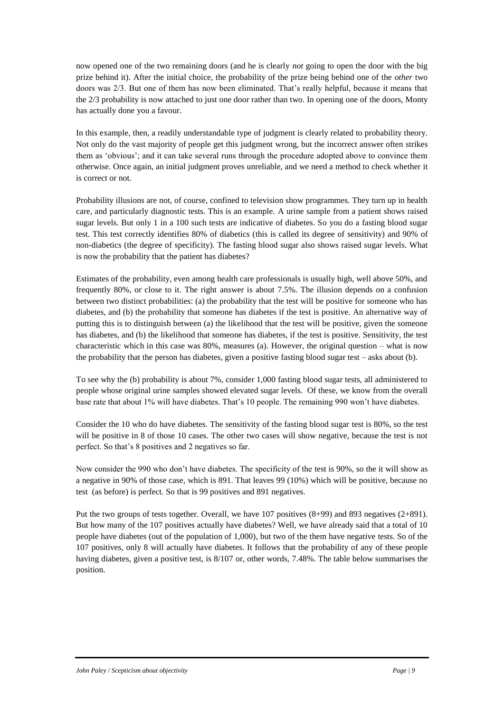now opened one of the two remaining doors (and he is clearly *not* going to open the door with the big prize behind it). After the initial choice, the probability of the prize being behind one of the *other* two doors was 2/3. But one of them has now been eliminated. That's really helpful, because it means that the 2/3 probability is now attached to just one door rather than two. In opening one of the doors, Monty has actually done you a favour.

In this example, then, a readily understandable type of judgment is clearly related to probability theory. Not only do the vast majority of people get this judgment wrong, but the incorrect answer often strikes them as 'obvious'; and it can take several runs through the procedure adopted above to convince them otherwise. Once again, an initial judgment proves unreliable, and we need a method to check whether it is correct or not.

Probability illusions are not, of course, confined to television show programmes. They turn up in health care, and particularly diagnostic tests. This is an example. A urine sample from a patient shows raised sugar levels. But only 1 in a 100 such tests are indicative of diabetes. So you do a fasting blood sugar test. This test correctly identifies 80% of diabetics (this is called its degree of sensitivity) and 90% of non-diabetics (the degree of specificity). The fasting blood sugar also shows raised sugar levels. What is now the probability that the patient has diabetes?

Estimates of the probability, even among health care professionals is usually high, well above 50%, and frequently 80%, or close to it. The right answer is about 7.5%. The illusion depends on a confusion between two distinct probabilities: (a) the probability that the test will be positive for someone who has diabetes, and (b) the probability that someone has diabetes if the test is positive. An alternative way of putting this is to distinguish between (a) the likelihood that the test will be positive, given the someone has diabetes, and (b) the likelihood that someone has diabetes, if the test is positive. Sensitivity, the test characteristic which in this case was 80%, measures (a). However, the original question – what is now the probability that the person has diabetes, given a positive fasting blood sugar test – asks about (b).

To see why the (b) probability is about 7%, consider 1,000 fasting blood sugar tests, all administered to people whose original urine samples showed elevated sugar levels. Of these, we know from the overall base rate that about 1% will have diabetes. That's 10 people. The remaining 990 won't have diabetes.

Consider the 10 who do have diabetes. The sensitivity of the fasting blood sugar test is 80%, so the test will be positive in 8 of those 10 cases. The other two cases will show negative, because the test is not perfect. So that's 8 positives and 2 negatives so far.

Now consider the 990 who don't have diabetes. The specificity of the test is 90%, so the it will show as a negative in 90% of those case, which is 891. That leaves 99 (10%) which will be positive, because no test (as before) is perfect. So that is 99 positives and 891 negatives.

Put the two groups of tests together. Overall, we have 107 positives (8+99) and 893 negatives (2+891). But how many of the 107 positives actually have diabetes? Well, we have already said that a total of 10 people have diabetes (out of the population of 1,000), but two of the them have negative tests. So of the 107 positives, only 8 will actually have diabetes. It follows that the probability of any of these people having diabetes, given a positive test, is 8/107 or, other words, 7.48%. The table below summarises the position.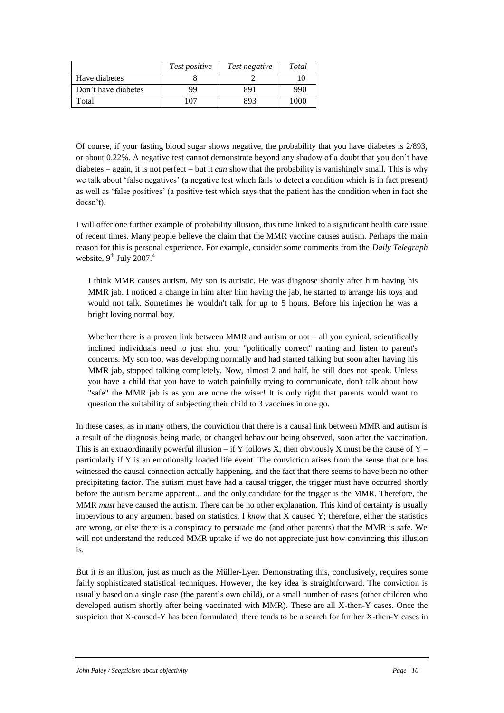|                     | Test positive | Test negative | Total |
|---------------------|---------------|---------------|-------|
| Have diabetes       |               |               |       |
| Don't have diabetes | QQ            | 891           | 990   |
| Total               | <u>07</u>     | 893           | 1000  |

Of course, if your fasting blood sugar shows negative, the probability that you have diabetes is 2/893, or about 0.22%. A negative test cannot demonstrate beyond any shadow of a doubt that you don't have diabetes – again, it is not perfect – but it *can* show that the probability is vanishingly small. This is why we talk about 'false negatives' (a negative test which fails to detect a condition which is in fact present) as well as 'false positives' (a positive test which says that the patient has the condition when in fact she doesn't).

I will offer one further example of probability illusion, this time linked to a significant health care issue of recent times. Many people believe the claim that the MMR vaccine causes autism. Perhaps the main reason for this is personal experience. For example, consider some comments from the *Daily Telegraph*  website,  $9^{th}$  July 2007.<sup>4</sup>

I think MMR causes autism. My son is autistic. He was diagnose shortly after him having his MMR jab. I noticed a change in him after him having the jab, he started to arrange his toys and would not talk. Sometimes he wouldn't talk for up to 5 hours. Before his injection he was a bright loving normal boy.

Whether there is a proven link between MMR and autism or not – all you cynical, scientifically inclined individuals need to just shut your "politically correct" ranting and listen to parent's concerns. My son too, was developing normally and had started talking but soon after having his MMR jab, stopped talking completely. Now, almost 2 and half, he still does not speak. Unless you have a child that you have to watch painfully trying to communicate, don't talk about how "safe" the MMR jab is as you are none the wiser! It is only right that parents would want to question the suitability of subjecting their child to 3 vaccines in one go.

In these cases, as in many others, the conviction that there is a causal link between MMR and autism is a result of the diagnosis being made, or changed behaviour being observed, soon after the vaccination. This is an extraordinarily powerful illusion – if Y follows X, then obviously X must be the cause of  $Y$  – particularly if Y is an emotionally loaded life event. The conviction arises from the sense that one has witnessed the causal connection actually happening, and the fact that there seems to have been no other precipitating factor. The autism must have had a causal trigger, the trigger must have occurred shortly before the autism became apparent... and the only candidate for the trigger is the MMR. Therefore, the MMR *must* have caused the autism. There can be no other explanation. This kind of certainty is usually impervious to any argument based on statistics. I *know* that X caused Y; therefore, either the statistics are wrong, or else there is a conspiracy to persuade me (and other parents) that the MMR is safe. We will not understand the reduced MMR uptake if we do not appreciate just how convincing this illusion is.

But it *is* an illusion, just as much as the Müller-Lyer. Demonstrating this, conclusively, requires some fairly sophisticated statistical techniques. However, the key idea is straightforward. The conviction is usually based on a single case (the parent's own child), or a small number of cases (other children who developed autism shortly after being vaccinated with MMR). These are all X-then-Y cases. Once the suspicion that X-caused-Y has been formulated, there tends to be a search for further X-then-Y cases in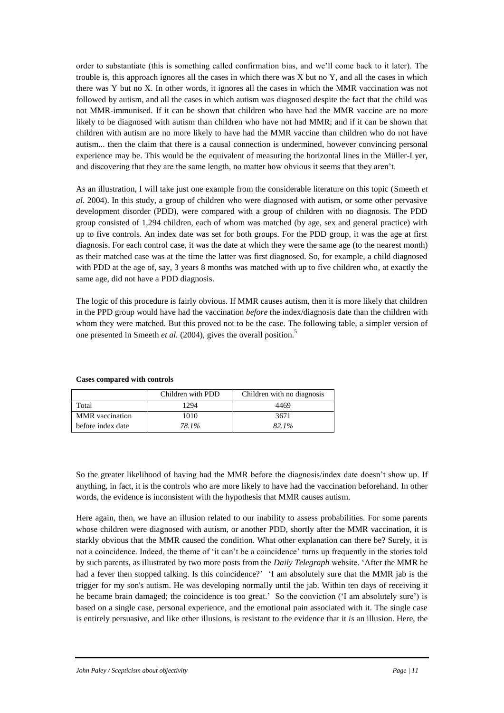order to substantiate (this is something called confirmation bias, and we'll come back to it later). The trouble is, this approach ignores all the cases in which there was X but no Y, and all the cases in which there was Y but no X. In other words, it ignores all the cases in which the MMR vaccination was not followed by autism, and all the cases in which autism was diagnosed despite the fact that the child was not MMR-immunised. If it can be shown that children who have had the MMR vaccine are no more likely to be diagnosed with autism than children who have not had MMR; and if it can be shown that children with autism are no more likely to have had the MMR vaccine than children who do not have autism... then the claim that there is a causal connection is undermined, however convincing personal experience may be. This would be the equivalent of measuring the horizontal lines in the Müller-Lyer, and discovering that they are the same length, no matter how obvious it seems that they aren't.

As an illustration, I will take just one example from the considerable literature on this topic (Smeeth *et al.* 2004). In this study, a group of children who were diagnosed with autism, or some other pervasive development disorder (PDD), were compared with a group of children with no diagnosis. The PDD group consisted of 1,294 children, each of whom was matched (by age, sex and general practice) with up to five controls. An index date was set for both groups. For the PDD group, it was the age at first diagnosis. For each control case, it was the date at which they were the same age (to the nearest month) as their matched case was at the time the latter was first diagnosed. So, for example, a child diagnosed with PDD at the age of, say, 3 years 8 months was matched with up to five children who, at exactly the same age, did not have a PDD diagnosis.

The logic of this procedure is fairly obvious. If MMR causes autism, then it is more likely that children in the PPD group would have had the vaccination *before* the index/diagnosis date than the children with whom they were matched. But this proved not to be the case. The following table, a simpler version of one presented in Smeeth *et al.* (2004), gives the overall position.<sup>5</sup>

|                        | Children with PDD | Children with no diagnosis |
|------------------------|-------------------|----------------------------|
| Total                  | 1294              | 4469                       |
| <b>MMR</b> vaccination | 1010              | 3671                       |
| before index date      | 78.1%             | 82.1%                      |

## **Cases compared with controls**

So the greater likelihood of having had the MMR before the diagnosis/index date doesn't show up. If anything, in fact, it is the controls who are more likely to have had the vaccination beforehand. In other words, the evidence is inconsistent with the hypothesis that MMR causes autism.

Here again, then, we have an illusion related to our inability to assess probabilities. For some parents whose children were diagnosed with autism, or another PDD, shortly after the MMR vaccination, it is starkly obvious that the MMR caused the condition. What other explanation can there be? Surely, it is not a coincidence. Indeed, the theme of 'it can't be a coincidence' turns up frequently in the stories told by such parents, as illustrated by two more posts from the *Daily Telegraph* website. 'After the MMR he had a fever then stopped talking. Is this coincidence?' 'I am absolutely sure that the MMR jab is the trigger for my son's autism. He was developing normally until the jab. Within ten days of receiving it he became brain damaged; the coincidence is too great.' So the conviction ('I am absolutely sure') is based on a single case, personal experience, and the emotional pain associated with it. The single case is entirely persuasive, and like other illusions, is resistant to the evidence that it *is* an illusion. Here, the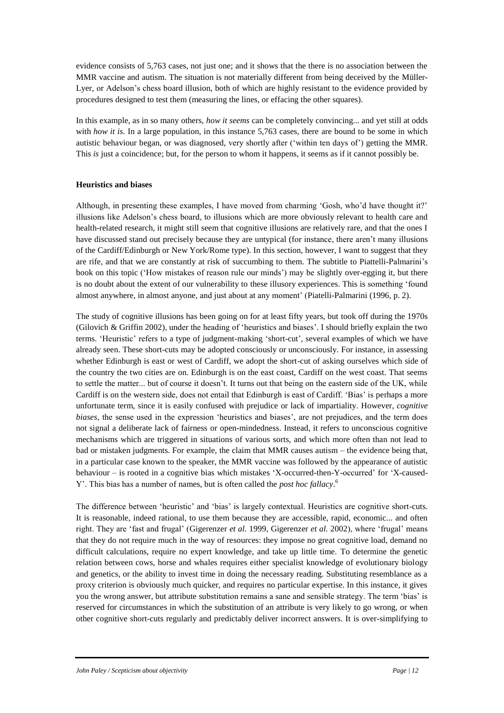evidence consists of 5,763 cases, not just one; and it shows that the there is no association between the MMR vaccine and autism. The situation is not materially different from being deceived by the Müller-Lyer, or Adelson's chess board illusion, both of which are highly resistant to the evidence provided by procedures designed to test them (measuring the lines, or effacing the other squares).

In this example, as in so many others, *how it seems* can be completely convincing... and yet still at odds with *how it is*. In a large population, in this instance 5,763 cases, there are bound to be some in which autistic behaviour began, or was diagnosed, very shortly after ('within ten days of') getting the MMR. This *is* just a coincidence; but, for the person to whom it happens, it seems as if it cannot possibly be.

# **Heuristics and biases**

Although, in presenting these examples, I have moved from charming 'Gosh, who'd have thought it?' illusions like Adelson's chess board, to illusions which are more obviously relevant to health care and health-related research, it might still seem that cognitive illusions are relatively rare, and that the ones I have discussed stand out precisely because they are untypical (for instance, there aren't many illusions of the Cardiff/Edinburgh or New York/Rome type). In this section, however, I want to suggest that they are rife, and that we are constantly at risk of succumbing to them. The subtitle to Piattelli-Palmarini's book on this topic ('How mistakes of reason rule our minds') may be slightly over-egging it, but there is no doubt about the extent of our vulnerability to these illusory experiences. This is something 'found almost anywhere, in almost anyone, and just about at any moment' (Piatelli-Palmarini (1996, p. 2).

The study of cognitive illusions has been going on for at least fifty years, but took off during the 1970s (Gilovich & Griffin 2002), under the heading of 'heuristics and biases'. I should briefly explain the two terms. 'Heuristic' refers to a type of judgment-making 'short-cut', several examples of which we have already seen. These short-cuts may be adopted consciously or unconsciously. For instance, in assessing whether Edinburgh is east or west of Cardiff, we adopt the short-cut of asking ourselves which side of the country the two cities are on. Edinburgh is on the east coast, Cardiff on the west coast. That seems to settle the matter... but of course it doesn't. It turns out that being on the eastern side of the UK, while Cardiff is on the western side, does not entail that Edinburgh is east of Cardiff. 'Bias' is perhaps a more unfortunate term, since it is easily confused with prejudice or lack of impartiality. However, *cognitive biases*, the sense used in the expression 'heuristics and biases', are not prejudices, and the term does not signal a deliberate lack of fairness or open-mindedness. Instead, it refers to unconscious cognitive mechanisms which are triggered in situations of various sorts, and which more often than not lead to bad or mistaken judgments. For example, the claim that MMR causes autism – the evidence being that, in a particular case known to the speaker, the MMR vaccine was followed by the appearance of autistic behaviour – is rooted in a cognitive bias which mistakes 'X-occurred-then-Y-occurred' for 'X-caused-Y'. This bias has a number of names, but is often called the *post hoc fallacy*. 6

The difference between 'heuristic' and 'bias' is largely contextual. Heuristics are cognitive short-cuts. It is reasonable, indeed rational, to use them because they are accessible, rapid, economic... and often right. They are 'fast and frugal' (Gigerenzer *et al.* 1999, Gigerenzer *et al.* 2002), where 'frugal' means that they do not require much in the way of resources: they impose no great cognitive load, demand no difficult calculations, require no expert knowledge, and take up little time. To determine the genetic relation between cows, horse and whales requires either specialist knowledge of evolutionary biology and genetics, or the ability to invest time in doing the necessary reading. Substituting resemblance as a proxy criterion is obviously much quicker, and requires no particular expertise. In this instance, it gives you the wrong answer, but attribute substitution remains a sane and sensible strategy. The term 'bias' is reserved for circumstances in which the substitution of an attribute is very likely to go wrong, or when other cognitive short-cuts regularly and predictably deliver incorrect answers. It is over-simplifying to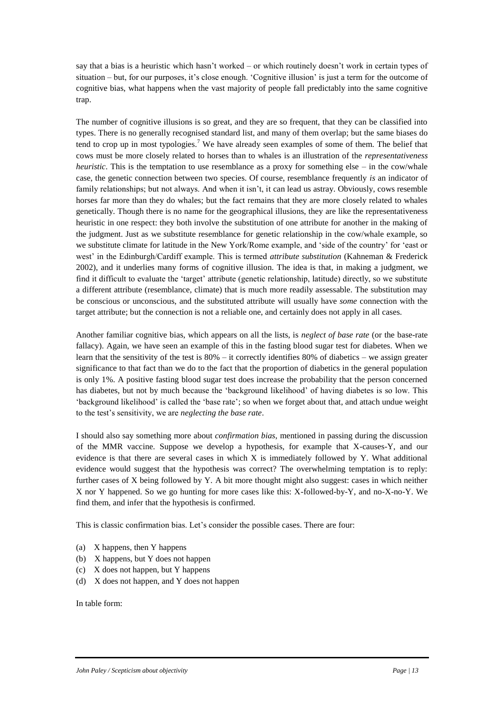say that a bias is a heuristic which hasn't worked – or which routinely doesn't work in certain types of situation – but, for our purposes, it's close enough. 'Cognitive illusion' is just a term for the outcome of cognitive bias, what happens when the vast majority of people fall predictably into the same cognitive trap.

The number of cognitive illusions is so great, and they are so frequent, that they can be classified into types. There is no generally recognised standard list, and many of them overlap; but the same biases do tend to crop up in most typologies.<sup>7</sup> We have already seen examples of some of them. The belief that cows must be more closely related to horses than to whales is an illustration of the *representativeness heuristic*. This is the temptation to use resemblance as a proxy for something else – in the cow/whale case, the genetic connection between two species. Of course, resemblance frequently *is* an indicator of family relationships; but not always. And when it isn't, it can lead us astray. Obviously, cows resemble horses far more than they do whales; but the fact remains that they are more closely related to whales genetically. Though there is no name for the geographical illusions, they are like the representativeness heuristic in one respect: they both involve the substitution of one attribute for another in the making of the judgment. Just as we substitute resemblance for genetic relationship in the cow/whale example, so we substitute climate for latitude in the New York/Rome example, and 'side of the country' for 'east or west' in the Edinburgh/Cardiff example. This is termed *attribute substitution* (Kahneman & Frederick 2002), and it underlies many forms of cognitive illusion. The idea is that, in making a judgment, we find it difficult to evaluate the 'target' attribute (genetic relationship, latitude) directly, so we substitute a different attribute (resemblance, climate) that is much more readily assessable. The substitution may be conscious or unconscious, and the substituted attribute will usually have *some* connection with the target attribute; but the connection is not a reliable one, and certainly does not apply in all cases.

Another familiar cognitive bias, which appears on all the lists, is *neglect of base rate* (or the base-rate fallacy). Again, we have seen an example of this in the fasting blood sugar test for diabetes. When we learn that the sensitivity of the test is 80% – it correctly identifies 80% of diabetics – we assign greater significance to that fact than we do to the fact that the proportion of diabetics in the general population is only 1%. A positive fasting blood sugar test does increase the probability that the person concerned has diabetes, but not by much because the 'background likelihood' of having diabetes is so low. This 'background likelihood' is called the 'base rate'; so when we forget about that, and attach undue weight to the test's sensitivity, we are *neglecting the base rate*.

I should also say something more about *confirmation bias*, mentioned in passing during the discussion of the MMR vaccine. Suppose we develop a hypothesis, for example that X-causes-Y, and our evidence is that there are several cases in which X is immediately followed by Y. What additional evidence would suggest that the hypothesis was correct? The overwhelming temptation is to reply: further cases of X being followed by Y. A bit more thought might also suggest: cases in which neither X nor Y happened. So we go hunting for more cases like this: X-followed-by-Y, and no-X-no-Y. We find them, and infer that the hypothesis is confirmed.

This is classic confirmation bias. Let's consider the possible cases. There are four:

- (a) X happens, then Y happens
- (b) X happens, but Y does not happen
- (c) X does not happen, but Y happens
- (d) X does not happen, and Y does not happen

In table form: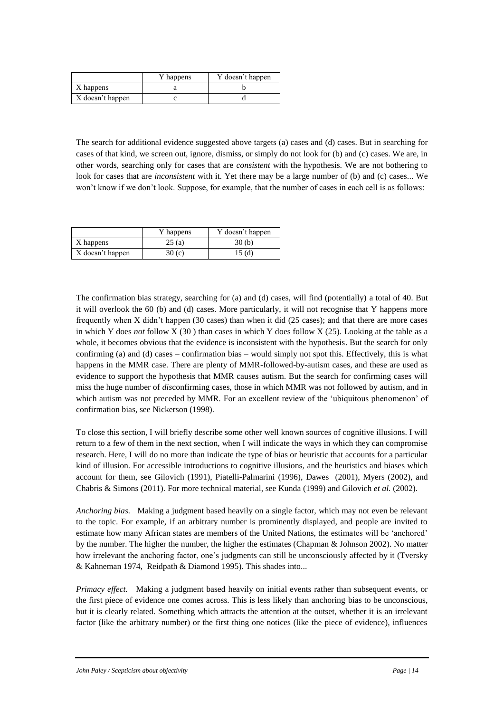|                  | Y happens | Y doesn't happen |
|------------------|-----------|------------------|
| X happens        |           |                  |
| X doesn't happen |           |                  |

The search for additional evidence suggested above targets (a) cases and (d) cases. But in searching for cases of that kind, we screen out, ignore, dismiss, or simply do not look for (b) and (c) cases. We are, in other words, searching only for cases that are *consistent* with the hypothesis. We are not bothering to look for cases that are *inconsistent* with it. Yet there may be a large number of (b) and (c) cases... We won't know if we don't look. Suppose, for example, that the number of cases in each cell is as follows:

|                  | Y happens | Y doesn't happen |
|------------------|-----------|------------------|
| X happens        | 25(a)     | 30 (b)           |
| X doesn't happen | 30 $(c)$  | 15 (d)           |

The confirmation bias strategy, searching for (a) and (d) cases, will find (potentially) a total of 40. But it will overlook the 60 (b) and (d) cases. More particularly, it will not recognise that Y happens more frequently when X didn't happen (30 cases) than when it did (25 cases); and that there are more cases in which Y does *not* follow X (30 ) than cases in which Y does follow X (25). Looking at the table as a whole, it becomes obvious that the evidence is inconsistent with the hypothesis. But the search for only confirming (a) and (d) cases – confirmation bias – would simply not spot this. Effectively, this is what happens in the MMR case. There are plenty of MMR-followed-by-autism cases, and these are used as evidence to support the hypothesis that MMR causes autism. But the search for confirming cases will miss the huge number of *dis*confirming cases, those in which MMR was not followed by autism, and in which autism was not preceded by MMR. For an excellent review of the 'ubiquitous phenomenon' of confirmation bias, see Nickerson (1998).

To close this section, I will briefly describe some other well known sources of cognitive illusions. I will return to a few of them in the next section, when I will indicate the ways in which they can compromise research. Here, I will do no more than indicate the type of bias or heuristic that accounts for a particular kind of illusion. For accessible introductions to cognitive illusions, and the heuristics and biases which account for them, see Gilovich (1991), Piatelli-Palmarini (1996), Dawes (2001), Myers (2002), and Chabris & Simons (2011). For more technical material, see Kunda (1999) and Gilovich *et al.* (2002).

*Anchoring bias.* Making a judgment based heavily on a single factor, which may not even be relevant to the topic. For example, if an arbitrary number is prominently displayed, and people are invited to estimate how many African states are members of the United Nations, the estimates will be 'anchored' by the number. The higher the number, the higher the estimates (Chapman & Johnson 2002). No matter how irrelevant the anchoring factor, one's judgments can still be unconsciously affected by it (Tversky & Kahneman 1974, Reidpath & Diamond 1995). This shades into...

*Primacy effect.* Making a judgment based heavily on initial events rather than subsequent events, or the first piece of evidence one comes across. This is less likely than anchoring bias to be unconscious, but it is clearly related. Something which attracts the attention at the outset, whether it is an irrelevant factor (like the arbitrary number) or the first thing one notices (like the piece of evidence), influences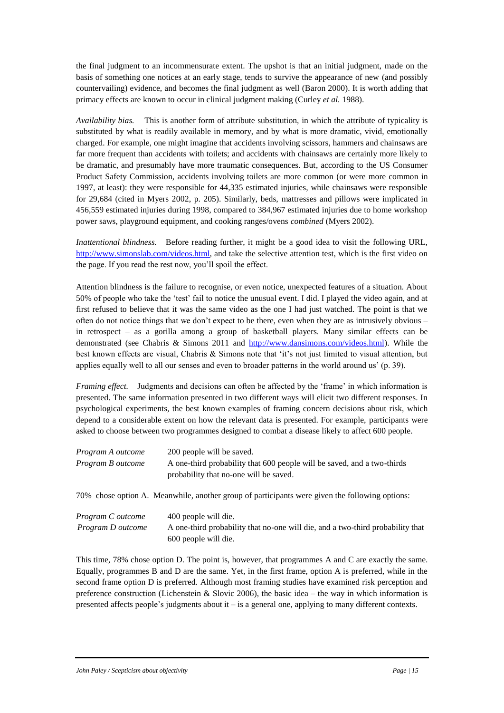the final judgment to an incommensurate extent. The upshot is that an initial judgment, made on the basis of something one notices at an early stage, tends to survive the appearance of new (and possibly countervailing) evidence, and becomes the final judgment as well (Baron 2000). It is worth adding that primacy effects are known to occur in clinical judgment making (Curley *et al.* 1988).

*Availability bias.* This is another form of attribute substitution, in which the attribute of typicality is substituted by what is readily available in memory, and by what is more dramatic, vivid, emotionally charged. For example, one might imagine that accidents involving scissors, hammers and chainsaws are far more frequent than accidents with toilets; and accidents with chainsaws are certainly more likely to be dramatic, and presumably have more traumatic consequences. But, according to the US Consumer Product Safety Commission, accidents involving toilets are more common (or were more common in 1997, at least): they were responsible for 44,335 estimated injuries, while chainsaws were responsible for 29,684 (cited in Myers 2002, p. 205). Similarly, beds, mattresses and pillows were implicated in 456,559 estimated injuries during 1998, compared to 384,967 estimated injuries due to home workshop power saws, playground equipment, and cooking ranges/ovens *combined* (Myers 2002).

*Inattentional blindness.* Before reading further, it might be a good idea to visit the following URL, [http://www.simonslab.com/videos.html,](http://www.simonslab.com/videos.html) and take the selective attention test, which is the first video on the page. If you read the rest now, you'll spoil the effect.

Attention blindness is the failure to recognise, or even notice, unexpected features of a situation. About 50% of people who take the 'test' fail to notice the unusual event. I did. I played the video again, and at first refused to believe that it was the same video as the one I had just watched. The point is that we often do not notice things that we don't expect to be there, even when they are as intrusively obvious – in retrospect – as a gorilla among a group of basketball players. Many similar effects can be demonstrated (see Chabris & Simons 2011 and [http://www.dansimons.com/videos.html\)](http://www.dansimons.com/videos.html). While the best known effects are visual, Chabris & Simons note that 'it's not just limited to visual attention, but applies equally well to all our senses and even to broader patterns in the world around us' (p. 39).

*Framing effect.* Judgments and decisions can often be affected by the 'frame' in which information is presented. The same information presented in two different ways will elicit two different responses. In psychological experiments, the best known examples of framing concern decisions about risk, which depend to a considerable extent on how the relevant data is presented. For example, participants were asked to choose between two programmes designed to combat a disease likely to affect 600 people.

| Program A outcome<br>Program B outcome | 200 people will be saved.<br>A one-third probability that 600 people will be saved, and a two-thirds<br>probability that no-one will be saved. |
|----------------------------------------|------------------------------------------------------------------------------------------------------------------------------------------------|
|                                        | 70% chose option A. Meanwhile, another group of participants were given the following options:                                                 |

| Program C outcome | 400 people will die.                                                           |
|-------------------|--------------------------------------------------------------------------------|
| Program D outcome | A one-third probability that no-one will die, and a two-third probability that |
|                   | 600 people will die.                                                           |

This time, 78% chose option D. The point is, however, that programmes A and C are exactly the same. Equally, programmes B and D are the same. Yet, in the first frame, option A is preferred, while in the second frame option D is preferred. Although most framing studies have examined risk perception and preference construction (Lichenstein & Slovic 2006), the basic idea – the way in which information is presented affects people's judgments about it – is a general one, applying to many different contexts.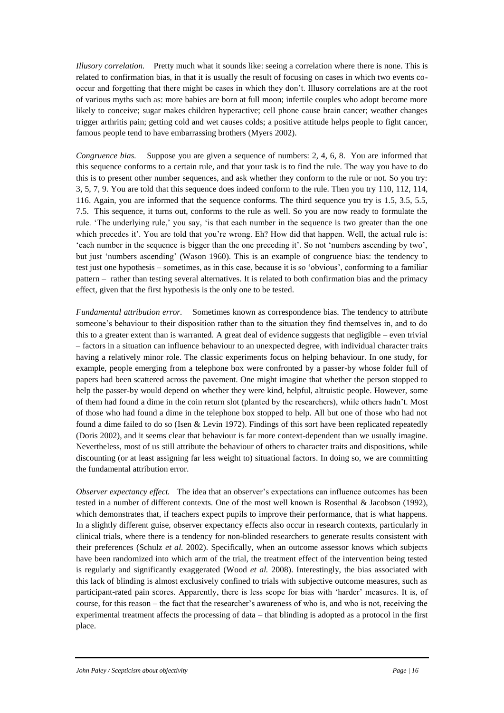*Illusory correlation.* Pretty much what it sounds like: seeing a correlation where there is none. This is related to confirmation bias, in that it is usually the result of focusing on cases in which two events cooccur and forgetting that there might be cases in which they don't. Illusory correlations are at the root of various myths such as: more babies are born at full moon; infertile couples who adopt become more likely to conceive; sugar makes children hyperactive; cell phone cause brain cancer; weather changes trigger arthritis pain; getting cold and wet causes colds; a positive attitude helps people to fight cancer, famous people tend to have embarrassing brothers (Myers 2002).

*Congruence bias.* Suppose you are given a sequence of numbers: 2, 4, 6, 8. You are informed that this sequence conforms to a certain rule, and that your task is to find the rule. The way you have to do this is to present other number sequences, and ask whether they conform to the rule or not. So you try: 3, 5, 7, 9. You are told that this sequence does indeed conform to the rule. Then you try 110, 112, 114, 116. Again, you are informed that the sequence conforms. The third sequence you try is 1.5, 3.5, 5.5, 7.5. This sequence, it turns out, conforms to the rule as well. So you are now ready to formulate the rule. 'The underlying rule,' you say, 'is that each number in the sequence is two greater than the one which precedes it'. You are told that you're wrong. Eh? How did that happen. Well, the actual rule is: 'each number in the sequence is bigger than the one preceding it'. So not 'numbers ascending by two', but just 'numbers ascending' (Wason 1960). This is an example of congruence bias: the tendency to test just one hypothesis – sometimes, as in this case, because it is so 'obvious', conforming to a familiar pattern – rather than testing several alternatives. It is related to both confirmation bias and the primacy effect, given that the first hypothesis is the only one to be tested.

*Fundamental attribution error.* Sometimes known as correspondence bias. The tendency to attribute someone's behaviour to their disposition rather than to the situation they find themselves in, and to do this to a greater extent than is warranted. A great deal of evidence suggests that negligible – even trivial – factors in a situation can influence behaviour to an unexpected degree, with individual character traits having a relatively minor role. The classic experiments focus on helping behaviour. In one study, for example, people emerging from a telephone box were confronted by a passer-by whose folder full of papers had been scattered across the pavement. One might imagine that whether the person stopped to help the passer-by would depend on whether they were kind, helpful, altruistic people. However, some of them had found a dime in the coin return slot (planted by the researchers), while others hadn't. Most of those who had found a dime in the telephone box stopped to help. All but one of those who had not found a dime failed to do so (Isen & Levin 1972). Findings of this sort have been replicated repeatedly (Doris 2002), and it seems clear that behaviour is far more context-dependent than we usually imagine. Nevertheless, most of us still attribute the behaviour of others to character traits and dispositions, while discounting (or at least assigning far less weight to) situational factors. In doing so, we are committing the fundamental attribution error.

*Observer expectancy effect.* The idea that an observer's expectations can influence outcomes has been tested in a number of different contexts. One of the most well known is Rosenthal & Jacobson (1992), which demonstrates that, if teachers expect pupils to improve their performance, that is what happens. In a slightly different guise, observer expectancy effects also occur in research contexts, particularly in clinical trials, where there is a tendency for non-blinded researchers to generate results consistent with their preferences (Schulz *et al.* 2002). Specifically, when an outcome assessor knows which subjects have been randomized into which arm of the trial, the treatment effect of the intervention being tested is regularly and significantly exaggerated (Wood *et al.* 2008). Interestingly, the bias associated with this lack of blinding is almost exclusively confined to trials with subjective outcome measures, such as participant-rated pain scores. Apparently, there is less scope for bias with 'harder' measures. It is, of course, for this reason – the fact that the researcher's awareness of who is, and who is not, receiving the experimental treatment affects the processing of data – that blinding is adopted as a protocol in the first place.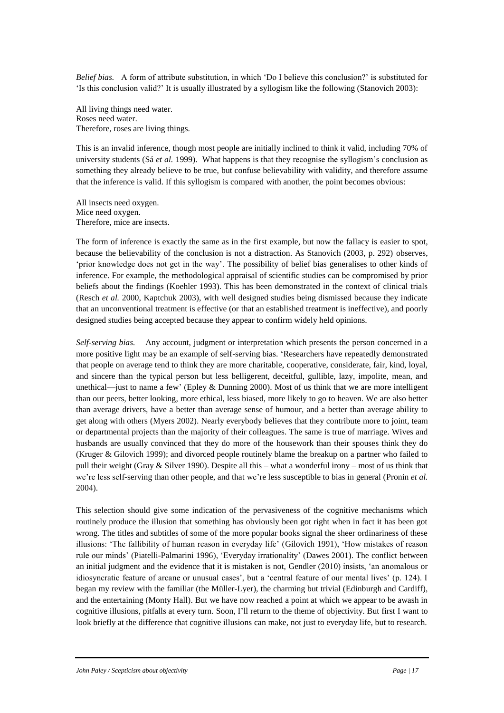*Belief bias.* A form of attribute substitution, in which 'Do I believe this conclusion?' is substituted for 'Is this conclusion valid?' It is usually illustrated by a syllogism like the following (Stanovich 2003):

All living things need water. Roses need water. Therefore, roses are living things.

This is an invalid inference, though most people are initially inclined to think it valid, including 70% of university students (Sá *et al.* 1999). What happens is that they recognise the syllogism's conclusion as something they already believe to be true, but confuse believability with validity, and therefore assume that the inference is valid. If this syllogism is compared with another, the point becomes obvious:

All insects need oxygen. Mice need oxygen. Therefore, mice are insects.

The form of inference is exactly the same as in the first example, but now the fallacy is easier to spot, because the believability of the conclusion is not a distraction. As Stanovich (2003, p. 292) observes, 'prior knowledge does not get in the way'. The possibility of belief bias generalises to other kinds of inference. For example, the methodological appraisal of scientific studies can be compromised by prior beliefs about the findings (Koehler 1993). This has been demonstrated in the context of clinical trials (Resch *et al.* 2000, Kaptchuk 2003), with well designed studies being dismissed because they indicate that an unconventional treatment is effective (or that an established treatment is ineffective), and poorly designed studies being accepted because they appear to confirm widely held opinions.

*Self-serving bias.* Any account, judgment or interpretation which presents the person concerned in a more positive light may be an example of self-serving bias. 'Researchers have repeatedly demonstrated that people on average tend to think they are more charitable, cooperative, considerate, fair, kind, loyal, and sincere than the typical person but less belligerent, deceitful, gullible, lazy, impolite, mean, and unethical—just to name a few' (Epley & Dunning 2000). Most of us think that we are more intelligent than our peers, better looking, more ethical, less biased, more likely to go to heaven. We are also better than average drivers, have a better than average sense of humour, and a better than average ability to get along with others (Myers 2002). Nearly everybody believes that they contribute more to joint, team or departmental projects than the majority of their colleagues. The same is true of marriage. Wives and husbands are usually convinced that they do more of the housework than their spouses think they do (Kruger & Gilovich 1999); and divorced people routinely blame the breakup on a partner who failed to pull their weight (Gray & Silver 1990). Despite all this – what a wonderful irony – most of us think that we're less self-serving than other people, and that we're less susceptible to bias in general (Pronin *et al.* 2004).

This selection should give some indication of the pervasiveness of the cognitive mechanisms which routinely produce the illusion that something has obviously been got right when in fact it has been got wrong. The titles and subtitles of some of the more popular books signal the sheer ordinariness of these illusions: 'The fallibility of human reason in everyday life' (Gilovich 1991), 'How mistakes of reason rule our minds' (Piatelli-Palmarini 1996), 'Everyday irrationality' (Dawes 2001). The conflict between an initial judgment and the evidence that it is mistaken is not, Gendler (2010) insists, 'an anomalous or idiosyncratic feature of arcane or unusual cases', but a 'central feature of our mental lives' (p. 124). I began my review with the familiar (the Müller-Lyer), the charming but trivial (Edinburgh and Cardiff), and the entertaining (Monty Hall). But we have now reached a point at which we appear to be awash in cognitive illusions, pitfalls at every turn. Soon, I'll return to the theme of objectivity. But first I want to look briefly at the difference that cognitive illusions can make, not just to everyday life, but to research.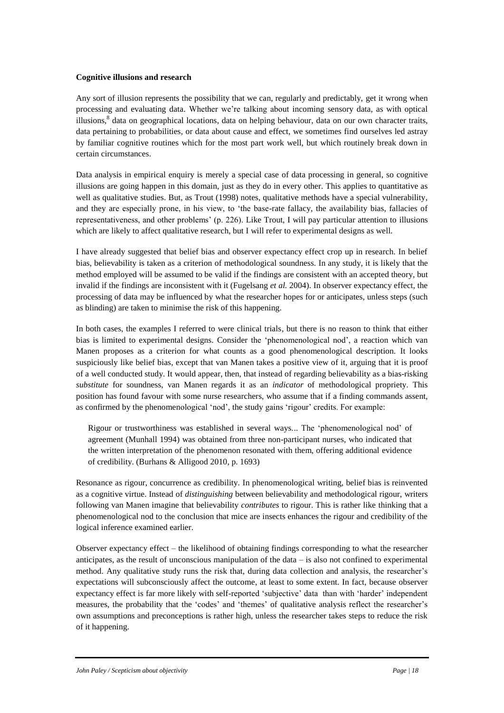## **Cognitive illusions and research**

Any sort of illusion represents the possibility that we can, regularly and predictably, get it wrong when processing and evaluating data. Whether we're talking about incoming sensory data, as with optical illusions,<sup>8</sup> data on geographical locations, data on helping behaviour, data on our own character traits, data pertaining to probabilities, or data about cause and effect, we sometimes find ourselves led astray by familiar cognitive routines which for the most part work well, but which routinely break down in certain circumstances.

Data analysis in empirical enquiry is merely a special case of data processing in general, so cognitive illusions are going happen in this domain, just as they do in every other. This applies to quantitative as well as qualitative studies. But, as Trout (1998) notes, qualitative methods have a special vulnerability, and they are especially prone, in his view, to 'the base-rate fallacy, the availability bias, fallacies of representativeness, and other problems' (p. 226). Like Trout, I will pay particular attention to illusions which are likely to affect qualitative research, but I will refer to experimental designs as well.

I have already suggested that belief bias and observer expectancy effect crop up in research. In belief bias, believability is taken as a criterion of methodological soundness. In any study, it is likely that the method employed will be assumed to be valid if the findings are consistent with an accepted theory, but invalid if the findings are inconsistent with it (Fugelsang *et al.* 2004). In observer expectancy effect, the processing of data may be influenced by what the researcher hopes for or anticipates, unless steps (such as blinding) are taken to minimise the risk of this happening.

In both cases, the examples I referred to were clinical trials, but there is no reason to think that either bias is limited to experimental designs. Consider the 'phenomenological nod', a reaction which van Manen proposes as a criterion for what counts as a good phenomenological description. It looks suspiciously like belief bias, except that van Manen takes a positive view of it, arguing that it is proof of a well conducted study. It would appear, then, that instead of regarding believability as a bias-risking *substitute* for soundness, van Manen regards it as an *indicator* of methodological propriety. This position has found favour with some nurse researchers, who assume that if a finding commands assent, as confirmed by the phenomenological 'nod', the study gains 'rigour' credits. For example:

Rigour or trustworthiness was established in several ways... The 'phenomenological nod' of agreement (Munhall 1994) was obtained from three non-participant nurses, who indicated that the written interpretation of the phenomenon resonated with them, offering additional evidence of credibility. (Burhans & Alligood 2010, p. 1693)

Resonance as rigour, concurrence as credibility. In phenomenological writing, belief bias is reinvented as a cognitive virtue. Instead of *distinguishing* between believability and methodological rigour, writers following van Manen imagine that believability *contributes* to rigour. This is rather like thinking that a phenomenological nod to the conclusion that mice are insects enhances the rigour and credibility of the logical inference examined earlier.

Observer expectancy effect – the likelihood of obtaining findings corresponding to what the researcher anticipates, as the result of unconscious manipulation of the data – is also not confined to experimental method. Any qualitative study runs the risk that, during data collection and analysis, the researcher's expectations will subconsciously affect the outcome, at least to some extent. In fact, because observer expectancy effect is far more likely with self-reported 'subjective' data than with 'harder' independent measures, the probability that the 'codes' and 'themes' of qualitative analysis reflect the researcher's own assumptions and preconceptions is rather high, unless the researcher takes steps to reduce the risk of it happening.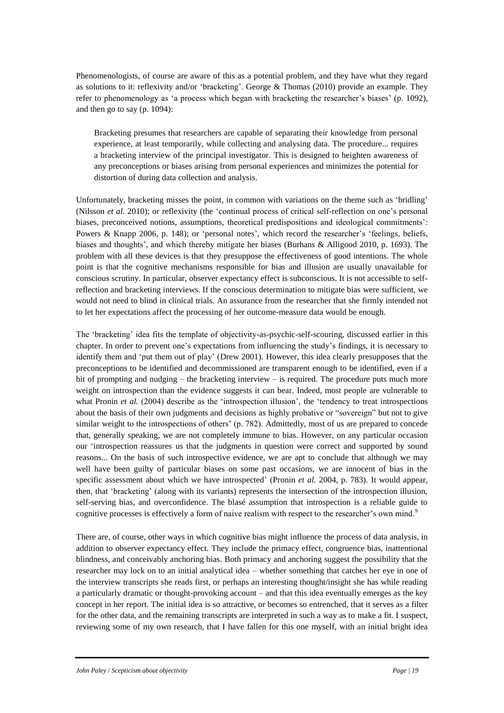Phenomenologists, of course are aware of this as a potential problem, and they have what they regard as solutions to it: reflexivity and/or 'bracketing'. George & Thomas (2010) provide an example. They refer to phenomenology as 'a process which began with bracketing the researcher's biases' (p. 1092), and then go to say (p. 1094):

Bracketing presumes that researchers are capable of separating their knowledge from personal experience, at least temporarily, while collecting and analysing data. The procedure... requires a bracketing interview of the principal investigator. This is designed to heighten awareness of any preconceptions or biases arising from personal experiences and minimizes the potential for distortion of during data collection and analysis.

Unfortunately, bracketing misses the point, in common with variations on the theme such as 'bridling' (Nilsson *et al.* 2010); or reflexivity (the 'continual process of critical self-reflection on one's personal biases, preconceived notions, assumptions, theoretical predispositions and ideological commitments': Powers & Knapp 2006, p. 148); or 'personal notes', which record the researcher's 'feelings, beliefs, biases and thoughts', and which thereby mitigate her biases (Burhans & Alligood 2010, p. 1693). The problem with all these devices is that they presuppose the effectiveness of good intentions. The whole point is that the cognitive mechanisms responsible for bias and illusion are usually unavailable for conscious scrutiny. In particular, observer expectancy effect is subconscious. It is not accessible to selfreflection and bracketing interviews. If the conscious determination to mitigate bias were sufficient, we would not need to blind in clinical trials. An assurance from the researcher that she firmly intended not to let her expectations affect the processing of her outcome-measure data would be enough.

The 'bracketing' idea fits the template of objectivity-as-psychic-self-scouring, discussed earlier in this chapter. In order to prevent one's expectations from influencing the study's findings, it is necessary to identify them and 'put them out of play' (Drew 2001). However, this idea clearly presupposes that the preconceptions to be identified and decommissioned are transparent enough to be identified, even if a bit of prompting and nudging – the bracketing interview – is required. The procedure puts much more weight on introspection than the evidence suggests it can bear. Indeed, most people are vulnerable to what Pronin *et al.* (2004) describe as the 'introspection illusion', the 'tendency to treat introspections about the basis of their own judgments and decisions as highly probative or "sovereign" but not to give similar weight to the introspections of others' (p. 782). Admittedly, most of us are prepared to concede that, generally speaking, we are not completely immune to bias. However, on any particular occasion our 'introspection reassures us that the judgments in question were correct and supported by sound reasons... On the basis of such introspective evidence, we are apt to conclude that although we may well have been guilty of particular biases on some past occasions, we are innocent of bias in the specific assessment about which we have introspected' (Pronin *et al.* 2004, p. 783). It would appear, then, that 'bracketing' (along with its variants) represents the intersection of the introspection illusion, self-serving bias, and overconfidence. The blasé assumption that introspection is a reliable guide to cognitive processes is effectively a form of naive realism with respect to the researcher's own mind.<sup>9</sup>

There are, of course, other ways in which cognitive bias might influence the process of data analysis, in addition to observer expectancy effect. They include the primacy effect, congruence bias, inattentional blindness, and conceivably anchoring bias. Both primacy and anchoring suggest the possibility that the researcher may lock on to an initial analytical idea – whether something that catches her eye in one of the interview transcripts she reads first, or perhaps an interesting thought/insight she has while reading a particularly dramatic or thought-provoking account – and that this idea eventually emerges as the key concept in her report. The initial idea is so attractive, or becomes so entrenched, that it serves as a filter for the other data, and the remaining transcripts are interpreted in such a way as to make a fit. I suspect, reviewing some of my own research, that I have fallen for this one myself, with an initial bright idea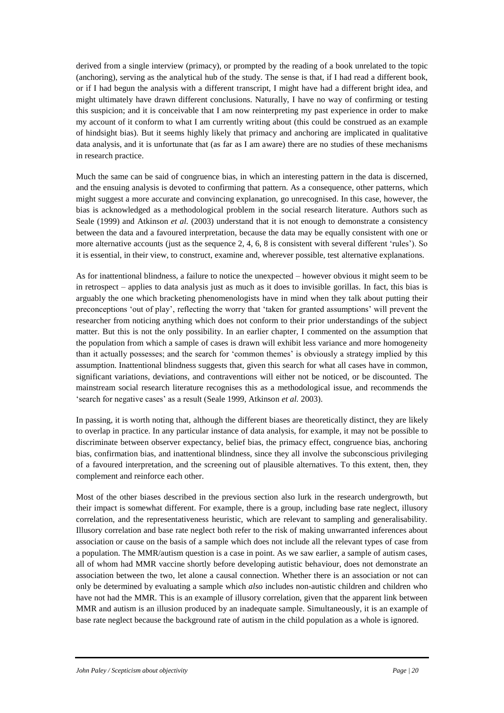derived from a single interview (primacy), or prompted by the reading of a book unrelated to the topic (anchoring), serving as the analytical hub of the study. The sense is that, if I had read a different book, or if I had begun the analysis with a different transcript, I might have had a different bright idea, and might ultimately have drawn different conclusions. Naturally, I have no way of confirming or testing this suspicion; and it is conceivable that I am now reinterpreting my past experience in order to make my account of it conform to what I am currently writing about (this could be construed as an example of hindsight bias). But it seems highly likely that primacy and anchoring are implicated in qualitative data analysis, and it is unfortunate that (as far as I am aware) there are no studies of these mechanisms in research practice.

Much the same can be said of congruence bias, in which an interesting pattern in the data is discerned, and the ensuing analysis is devoted to confirming that pattern. As a consequence, other patterns, which might suggest a more accurate and convincing explanation, go unrecognised. In this case, however, the bias is acknowledged as a methodological problem in the social research literature. Authors such as Seale (1999) and Atkinson *et al.* (2003) understand that it is not enough to demonstrate a consistency between the data and a favoured interpretation, because the data may be equally consistent with one or more alternative accounts (just as the sequence 2, 4, 6, 8 is consistent with several different 'rules'). So it is essential, in their view, to construct, examine and, wherever possible, test alternative explanations.

As for inattentional blindness, a failure to notice the unexpected – however obvious it might seem to be in retrospect – applies to data analysis just as much as it does to invisible gorillas. In fact, this bias is arguably the one which bracketing phenomenologists have in mind when they talk about putting their preconceptions 'out of play', reflecting the worry that 'taken for granted assumptions' will prevent the researcher from noticing anything which does not conform to their prior understandings of the subject matter. But this is not the only possibility. In an earlier chapter, I commented on the assumption that the population from which a sample of cases is drawn will exhibit less variance and more homogeneity than it actually possesses; and the search for 'common themes' is obviously a strategy implied by this assumption. Inattentional blindness suggests that, given this search for what all cases have in common, significant variations, deviations, and contraventions will either not be noticed, or be discounted. The mainstream social research literature recognises this as a methodological issue, and recommends the 'search for negative cases' as a result (Seale 1999, Atkinson *et al.* 2003).

In passing, it is worth noting that, although the different biases are theoretically distinct, they are likely to overlap in practice. In any particular instance of data analysis, for example, it may not be possible to discriminate between observer expectancy, belief bias, the primacy effect, congruence bias, anchoring bias, confirmation bias, and inattentional blindness, since they all involve the subconscious privileging of a favoured interpretation, and the screening out of plausible alternatives. To this extent, then, they complement and reinforce each other.

Most of the other biases described in the previous section also lurk in the research undergrowth, but their impact is somewhat different. For example, there is a group, including base rate neglect, illusory correlation, and the representativeness heuristic, which are relevant to sampling and generalisability. Illusory correlation and base rate neglect both refer to the risk of making unwarranted inferences about association or cause on the basis of a sample which does not include all the relevant types of case from a population. The MMR/autism question is a case in point. As we saw earlier, a sample of autism cases, all of whom had MMR vaccine shortly before developing autistic behaviour, does not demonstrate an association between the two, let alone a causal connection. Whether there is an association or not can only be determined by evaluating a sample which *also* includes non-autistic children and children who have not had the MMR. This is an example of illusory correlation, given that the apparent link between MMR and autism is an illusion produced by an inadequate sample. Simultaneously, it is an example of base rate neglect because the background rate of autism in the child population as a whole is ignored.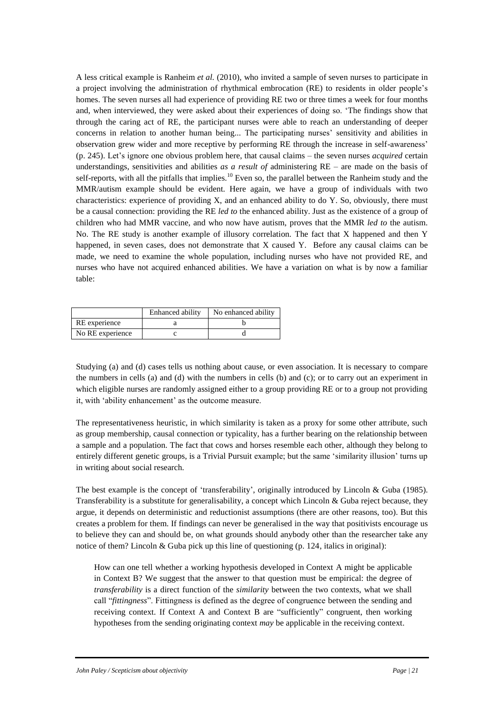A less critical example is Ranheim *et al.* (2010), who invited a sample of seven nurses to participate in a project involving the administration of rhythmical embrocation (RE) to residents in older people's homes. The seven nurses all had experience of providing RE two or three times a week for four months and, when interviewed, they were asked about their experiences of doing so. 'The findings show that through the caring act of RE, the participant nurses were able to reach an understanding of deeper concerns in relation to another human being... The participating nurses' sensitivity and abilities in observation grew wider and more receptive by performing RE through the increase in self-awareness' (p. 245). Let's ignore one obvious problem here, that causal claims – the seven nurses *acquired* certain understandings, sensitivities and abilities *as a result of* administering RE – are made on the basis of self-reports, with all the pitfalls that implies.<sup>10</sup> Even so, the parallel between the Ranheim study and the MMR/autism example should be evident. Here again, we have a group of individuals with two characteristics: experience of providing X, and an enhanced ability to do Y. So, obviously, there must be a causal connection: providing the RE *led to* the enhanced ability. Just as the existence of a group of children who had MMR vaccine, and who now have autism, proves that the MMR *led to* the autism. No. The RE study is another example of illusory correlation. The fact that X happened and then Y happened, in seven cases, does not demonstrate that X caused Y. Before any causal claims can be made, we need to examine the whole population, including nurses who have not provided RE, and nurses who have not acquired enhanced abilities. We have a variation on what is by now a familiar table:

|                  | Enhanced ability | No enhanced ability |
|------------------|------------------|---------------------|
| RE experience    |                  |                     |
| No RE experience |                  |                     |

Studying (a) and (d) cases tells us nothing about cause, or even association. It is necessary to compare the numbers in cells (a) and (d) with the numbers in cells (b) and (c); or to carry out an experiment in which eligible nurses are randomly assigned either to a group providing RE or to a group not providing it, with 'ability enhancement' as the outcome measure.

The representativeness heuristic, in which similarity is taken as a proxy for some other attribute, such as group membership, causal connection or typicality, has a further bearing on the relationship between a sample and a population. The fact that cows and horses resemble each other, although they belong to entirely different genetic groups, is a Trivial Pursuit example; but the same 'similarity illusion' turns up in writing about social research.

The best example is the concept of 'transferability', originally introduced by Lincoln & Guba (1985). Transferability is a substitute for generalisability, a concept which Lincoln & Guba reject because, they argue, it depends on deterministic and reductionist assumptions (there are other reasons, too). But this creates a problem for them. If findings can never be generalised in the way that positivists encourage us to believe they can and should be, on what grounds should anybody other than the researcher take any notice of them? Lincoln & Guba pick up this line of questioning (p. 124, italics in original):

How can one tell whether a working hypothesis developed in Context A might be applicable in Context B? We suggest that the answer to that question must be empirical: the degree of *transferability* is a direct function of the *similarity* between the two contexts, what we shall call "*fittingness*". Fittingness is defined as the degree of congruence between the sending and receiving context. If Context A and Context B are "sufficiently" congruent, then working hypotheses from the sending originating context *may* be applicable in the receiving context.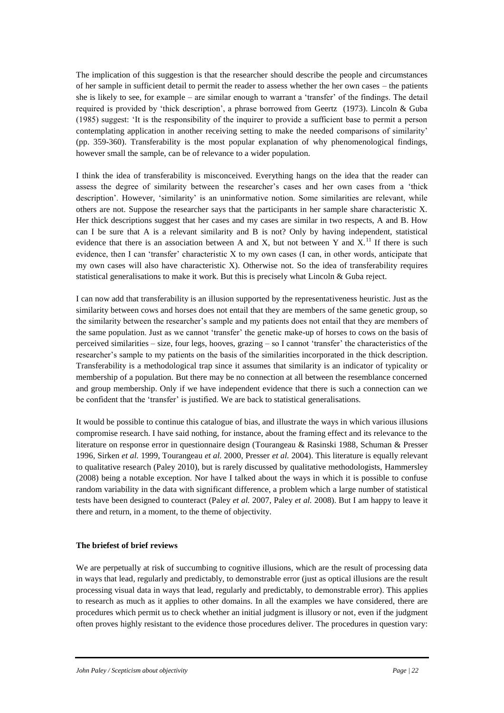The implication of this suggestion is that the researcher should describe the people and circumstances of her sample in sufficient detail to permit the reader to assess whether the her own cases – the patients she is likely to see, for example – are similar enough to warrant a 'transfer' of the findings. The detail required is provided by 'thick description', a phrase borrowed from Geertz (1973). Lincoln & Guba (1985) suggest: 'It is the responsibility of the inquirer to provide a sufficient base to permit a person contemplating application in another receiving setting to make the needed comparisons of similarity' (pp. 359-360). Transferability is the most popular explanation of why phenomenological findings, however small the sample, can be of relevance to a wider population.

I think the idea of transferability is misconceived. Everything hangs on the idea that the reader can assess the degree of similarity between the researcher's cases and her own cases from a 'thick description'. However, 'similarity' is an uninformative notion. Some similarities are relevant, while others are not. Suppose the researcher says that the participants in her sample share characteristic X. Her thick descriptions suggest that her cases and my cases are similar in two respects, A and B. How can I be sure that A is a relevant similarity and B is not? Only by having independent, statistical evidence that there is an association between A and X, but not between Y and  $X$ .<sup>11</sup> If there is such evidence, then I can 'transfer' characteristic X to my own cases (I can, in other words, anticipate that my own cases will also have characteristic X). Otherwise not. So the idea of transferability requires statistical generalisations to make it work. But this is precisely what Lincoln & Guba reject.

I can now add that transferability is an illusion supported by the representativeness heuristic. Just as the similarity between cows and horses does not entail that they are members of the same genetic group, so the similarity between the researcher's sample and my patients does not entail that they are members of the same population. Just as we cannot 'transfer' the genetic make-up of horses to cows on the basis of perceived similarities – size, four legs, hooves, grazing – so I cannot 'transfer' the characteristics of the researcher's sample to my patients on the basis of the similarities incorporated in the thick description. Transferability is a methodological trap since it assumes that similarity is an indicator of typicality or membership of a population. But there may be no connection at all between the resemblance concerned and group membership. Only if we have independent evidence that there is such a connection can we be confident that the 'transfer' is justified. We are back to statistical generalisations.

It would be possible to continue this catalogue of bias, and illustrate the ways in which various illusions compromise research. I have said nothing, for instance, about the framing effect and its relevance to the literature on response error in questionnaire design (Tourangeau & Rasinski 1988, Schuman & Presser 1996, Sirken *et al.* 1999, Tourangeau *et al.* 2000, Presser *et al.* 2004). This literature is equally relevant to qualitative research (Paley 2010), but is rarely discussed by qualitative methodologists, Hammersley (2008) being a notable exception. Nor have I talked about the ways in which it is possible to confuse random variability in the data with significant difference, a problem which a large number of statistical tests have been designed to counteract (Paley *et al.* 2007, Paley *et al.* 2008). But I am happy to leave it there and return, in a moment, to the theme of objectivity.

## **The briefest of brief reviews**

We are perpetually at risk of succumbing to cognitive illusions, which are the result of processing data in ways that lead, regularly and predictably, to demonstrable error (just as optical illusions are the result processing visual data in ways that lead, regularly and predictably, to demonstrable error). This applies to research as much as it applies to other domains. In all the examples we have considered, there are procedures which permit us to check whether an initial judgment is illusory or not, even if the judgment often proves highly resistant to the evidence those procedures deliver. The procedures in question vary: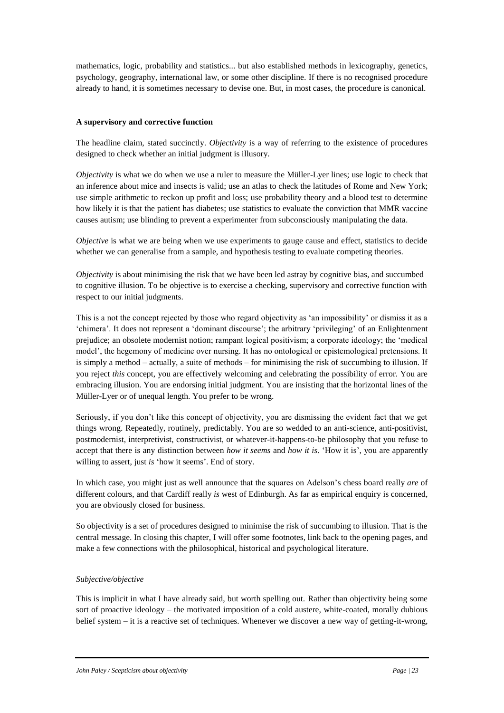mathematics, logic, probability and statistics... but also established methods in lexicography, genetics, psychology, geography, international law, or some other discipline. If there is no recognised procedure already to hand, it is sometimes necessary to devise one. But, in most cases, the procedure is canonical.

# **A supervisory and corrective function**

The headline claim, stated succinctly. *Objectivity* is a way of referring to the existence of procedures designed to check whether an initial judgment is illusory.

*Objectivity* is what we do when we use a ruler to measure the Müller-Lyer lines; use logic to check that an inference about mice and insects is valid; use an atlas to check the latitudes of Rome and New York; use simple arithmetic to reckon up profit and loss; use probability theory and a blood test to determine how likely it is that the patient has diabetes; use statistics to evaluate the conviction that MMR vaccine causes autism; use blinding to prevent a experimenter from subconsciously manipulating the data.

*Objective* is what we are being when we use experiments to gauge cause and effect, statistics to decide whether we can generalise from a sample, and hypothesis testing to evaluate competing theories.

*Objectivity* is about minimising the risk that we have been led astray by cognitive bias, and succumbed to cognitive illusion. To be objective is to exercise a checking, supervisory and corrective function with respect to our initial judgments.

This is a not the concept rejected by those who regard objectivity as 'an impossibility' or dismiss it as a 'chimera'. It does not represent a 'dominant discourse'; the arbitrary 'privileging' of an Enlightenment prejudice; an obsolete modernist notion; rampant logical positivism; a corporate ideology; the 'medical model', the hegemony of medicine over nursing. It has no ontological or epistemological pretensions. It is simply a method – actually, a suite of methods – for minimising the risk of succumbing to illusion. If you reject *this* concept, you are effectively welcoming and celebrating the possibility of error. You are embracing illusion. You are endorsing initial judgment. You are insisting that the horizontal lines of the Müller-Lyer or of unequal length. You prefer to be wrong.

Seriously, if you don't like this concept of objectivity, you are dismissing the evident fact that we get things wrong. Repeatedly, routinely, predictably. You are so wedded to an anti-science, anti-positivist, postmodernist, interpretivist, constructivist, or whatever-it-happens-to-be philosophy that you refuse to accept that there is any distinction between *how it seems* and *how it is*. 'How it is', you are apparently willing to assert, just *is* 'how it seems'. End of story.

In which case, you might just as well announce that the squares on Adelson's chess board really *are* of different colours, and that Cardiff really *is* west of Edinburgh. As far as empirical enquiry is concerned, you are obviously closed for business.

So objectivity is a set of procedures designed to minimise the risk of succumbing to illusion. That is the central message. In closing this chapter, I will offer some footnotes, link back to the opening pages, and make a few connections with the philosophical, historical and psychological literature.

# *Subjective/objective*

This is implicit in what I have already said, but worth spelling out. Rather than objectivity being some sort of proactive ideology – the motivated imposition of a cold austere, white-coated, morally dubious belief system – it is a reactive set of techniques. Whenever we discover a new way of getting-it-wrong,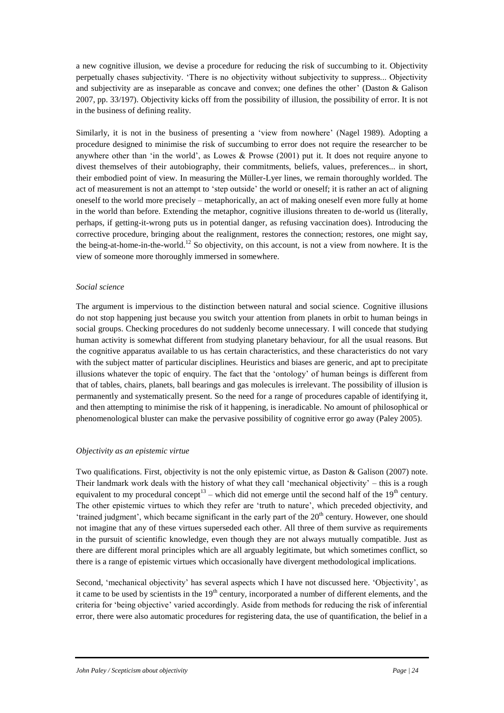a new cognitive illusion, we devise a procedure for reducing the risk of succumbing to it. Objectivity perpetually chases subjectivity. 'There is no objectivity without subjectivity to suppress... Objectivity and subjectivity are as inseparable as concave and convex; one defines the other' (Daston & Galison 2007, pp. 33/197). Objectivity kicks off from the possibility of illusion, the possibility of error. It is not in the business of defining reality.

Similarly, it is not in the business of presenting a 'view from nowhere' (Nagel 1989). Adopting a procedure designed to minimise the risk of succumbing to error does not require the researcher to be anywhere other than 'in the world', as Lowes & Prowse (2001) put it. It does not require anyone to divest themselves of their autobiography, their commitments, beliefs, values, preferences... in short, their embodied point of view. In measuring the Müller-Lyer lines, we remain thoroughly worlded. The act of measurement is not an attempt to 'step outside' the world or oneself; it is rather an act of aligning oneself to the world more precisely – metaphorically, an act of making oneself even more fully at home in the world than before. Extending the metaphor, cognitive illusions threaten to de-world us (literally, perhaps, if getting-it-wrong puts us in potential danger, as refusing vaccination does). Introducing the corrective procedure, bringing about the realignment, restores the connection; restores, one might say, the being-at-home-in-the-world.<sup>12</sup> So objectivity, on this account, is not a view from nowhere. It is the view of someone more thoroughly immersed in somewhere.

## *Social science*

The argument is impervious to the distinction between natural and social science. Cognitive illusions do not stop happening just because you switch your attention from planets in orbit to human beings in social groups. Checking procedures do not suddenly become unnecessary. I will concede that studying human activity is somewhat different from studying planetary behaviour, for all the usual reasons. But the cognitive apparatus available to us has certain characteristics, and these characteristics do not vary with the subject matter of particular disciplines. Heuristics and biases are generic, and apt to precipitate illusions whatever the topic of enquiry. The fact that the 'ontology' of human beings is different from that of tables, chairs, planets, ball bearings and gas molecules is irrelevant. The possibility of illusion is permanently and systematically present. So the need for a range of procedures capable of identifying it, and then attempting to minimise the risk of it happening, is ineradicable. No amount of philosophical or phenomenological bluster can make the pervasive possibility of cognitive error go away (Paley 2005).

## *Objectivity as an epistemic virtue*

Two qualifications. First, objectivity is not the only epistemic virtue, as Daston & Galison (2007) note. Their landmark work deals with the history of what they call 'mechanical objectivity' – this is a rough equivalent to my procedural concept<sup>13</sup> – which did not emerge until the second half of the 19<sup>th</sup> century. The other epistemic virtues to which they refer are 'truth to nature', which preceded objectivity, and 'trained judgment', which became significant in the early part of the  $20<sup>th</sup>$  century. However, one should not imagine that any of these virtues superseded each other. All three of them survive as requirements in the pursuit of scientific knowledge, even though they are not always mutually compatible. Just as there are different moral principles which are all arguably legitimate, but which sometimes conflict, so there is a range of epistemic virtues which occasionally have divergent methodological implications.

Second, 'mechanical objectivity' has several aspects which I have not discussed here. 'Objectivity', as it came to be used by scientists in the  $19<sup>th</sup>$  century, incorporated a number of different elements, and the criteria for 'being objective' varied accordingly. Aside from methods for reducing the risk of inferential error, there were also automatic procedures for registering data, the use of quantification, the belief in a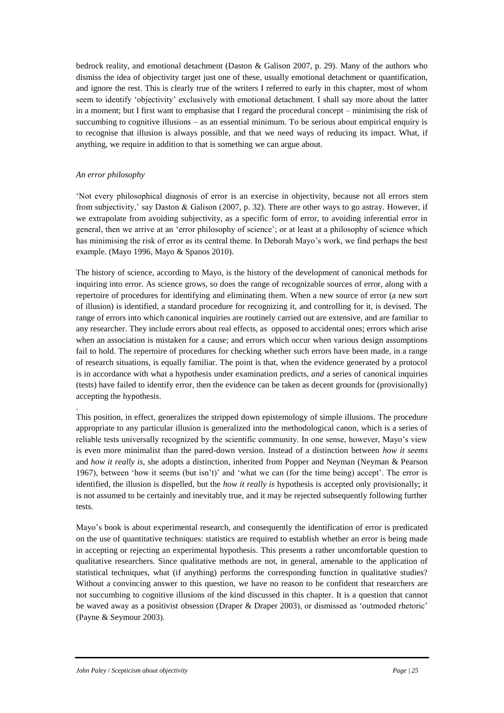bedrock reality, and emotional detachment (Daston & Galison 2007, p. 29). Many of the authors who dismiss the idea of objectivity target just one of these, usually emotional detachment or quantification, and ignore the rest. This is clearly true of the writers I referred to early in this chapter, most of whom seem to identify 'objectivity' exclusively with emotional detachment. I shall say more about the latter in a moment; but I first want to emphasise that I regard the procedural concept – minimising the risk of succumbing to cognitive illusions – as an essential minimum. To be serious about empirical enquiry is to recognise that illusion is always possible, and that we need ways of reducing its impact. What, if anything, we require in addition to that is something we can argue about.

# *An error philosophy*

.

'Not every philosophical diagnosis of error is an exercise in objectivity, because not all errors stem from subjectivity,' say Daston & Galison (2007, p. 32). There are other ways to go astray. However, if we extrapolate from avoiding subjectivity, as a specific form of error, to avoiding inferential error in general, then we arrive at an 'error philosophy of science'; or at least at a philosophy of science which has minimising the risk of error as its central theme. In Deborah Mayo's work, we find perhaps the best example. (Mayo 1996, Mayo & Spanos 2010).

The history of science, according to Mayo, is the history of the development of canonical methods for inquiring into error. As science grows, so does the range of recognizable sources of error, along with a repertoire of procedures for identifying and eliminating them. When a new source of error (a new sort of illusion) is identified, a standard procedure for recognizing it, and controlling for it, is devised. The range of errors into which canonical inquiries are routinely carried out are extensive, and are familiar to any researcher. They include errors about real effects, as opposed to accidental ones; errors which arise when an association is mistaken for a cause; and errors which occur when various design assumptions fail to hold. The repertoire of procedures for checking whether such errors have been made, in a range of research situations, is equally familiar. The point is that, when the evidence generated by a protocol is in accordance with what a hypothesis under examination predicts, *and* a series of canonical inquiries (tests) have failed to identify error, then the evidence can be taken as decent grounds for (provisionally) accepting the hypothesis.

This position, in effect, generalizes the stripped down epistemology of simple illusions. The procedure appropriate to any particular illusion is generalized into the methodological canon, which is a series of reliable tests universally recognized by the scientific community. In one sense, however, Mayo's view is even more minimalist than the pared-down version. Instead of a distinction between *how it seems* and *how it really is,* she adopts a distinction, inherited from Popper and Neyman (Neyman & Pearson 1967), between 'how it seems (but isn't)' and 'what we can (for the time being) accept'. The error is identified, the illusion is dispelled, but the *how it really is* hypothesis is accepted only provisionally; it is not assumed to be certainly and inevitably true, and it may be rejected subsequently following further tests.

Mayo's book is about experimental research, and consequently the identification of error is predicated on the use of quantitative techniques: statistics are required to establish whether an error is being made in accepting or rejecting an experimental hypothesis. This presents a rather uncomfortable question to qualitative researchers. Since qualitative methods are not, in general, amenable to the application of statistical techniques, what (if anything) performs the corresponding function in qualitative studies? Without a convincing answer to this question, we have no reason to be confident that researchers are not succumbing to cognitive illusions of the kind discussed in this chapter. It is a question that cannot be waved away as a positivist obsession (Draper & Draper 2003), or dismissed as 'outmoded rhetoric' (Payne & Seymour 2003).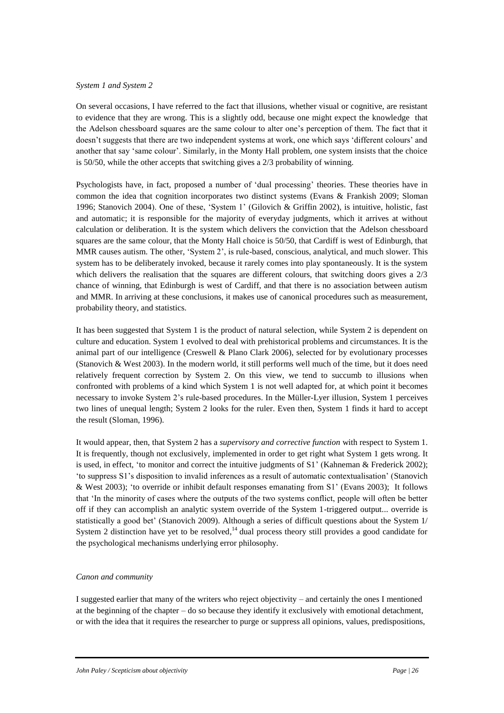## *System 1 and System 2*

On several occasions, I have referred to the fact that illusions, whether visual or cognitive, are resistant to evidence that they are wrong. This is a slightly odd, because one might expect the knowledge that the Adelson chessboard squares are the same colour to alter one's perception of them. The fact that it doesn't suggests that there are two independent systems at work, one which says 'different colours' and another that say 'same colour'. Similarly, in the Monty Hall problem, one system insists that the choice is 50/50, while the other accepts that switching gives a 2/3 probability of winning.

Psychologists have, in fact, proposed a number of 'dual processing' theories. These theories have in common the idea that cognition incorporates two distinct systems (Evans & Frankish 2009; Sloman 1996; Stanovich 2004). One of these, 'System 1' (Gilovich & Griffin 2002), is intuitive, holistic, fast and automatic; it is responsible for the majority of everyday judgments, which it arrives at without calculation or deliberation. It is the system which delivers the conviction that the Adelson chessboard squares are the same colour, that the Monty Hall choice is 50/50, that Cardiff is west of Edinburgh, that MMR causes autism. The other, 'System 2', is rule-based, conscious, analytical, and much slower. This system has to be deliberately invoked, because it rarely comes into play spontaneously. It is the system which delivers the realisation that the squares are different colours, that switching doors gives a  $2/3$ chance of winning, that Edinburgh is west of Cardiff, and that there is no association between autism and MMR. In arriving at these conclusions, it makes use of canonical procedures such as measurement, probability theory, and statistics.

It has been suggested that System 1 is the product of natural selection, while System 2 is dependent on culture and education. System 1 evolved to deal with prehistorical problems and circumstances. It is the animal part of our intelligence (Creswell & Plano Clark 2006), selected for by evolutionary processes (Stanovich & West 2003). In the modern world, it still performs well much of the time, but it does need relatively frequent correction by System 2. On this view, we tend to succumb to illusions when confronted with problems of a kind which System 1 is not well adapted for, at which point it becomes necessary to invoke System 2's rule-based procedures. In the Müller-Lyer illusion, System 1 perceives two lines of unequal length; System 2 looks for the ruler. Even then, System 1 finds it hard to accept the result (Sloman, 1996).

It would appear, then, that System 2 has a *supervisory and corrective function* with respect to System 1. It is frequently, though not exclusively, implemented in order to get right what System 1 gets wrong. It is used, in effect, 'to monitor and correct the intuitive judgments of S1' (Kahneman & Frederick 2002); 'to suppress S1's disposition to invalid inferences as a result of automatic contextualisation' (Stanovich & West 2003); 'to override or inhibit default responses emanating from S1' (Evans 2003); It follows that 'In the minority of cases where the outputs of the two systems conflict, people will often be better off if they can accomplish an analytic system override of the System 1-triggered output... override is statistically a good bet' (Stanovich 2009). Although a series of difficult questions about the System 1/ System 2 distinction have yet to be resolved, $<sup>14</sup>$  dual process theory still provides a good candidate for</sup> the psychological mechanisms underlying error philosophy.

# *Canon and community*

I suggested earlier that many of the writers who reject objectivity – and certainly the ones I mentioned at the beginning of the chapter – do so because they identify it exclusively with emotional detachment, or with the idea that it requires the researcher to purge or suppress all opinions, values, predispositions,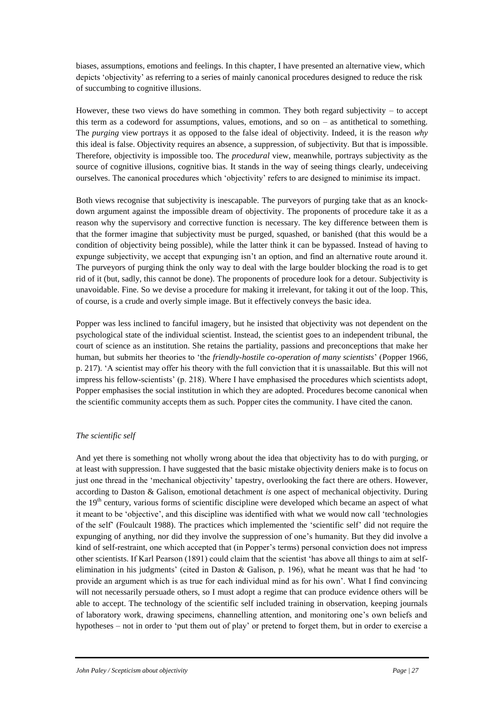biases, assumptions, emotions and feelings. In this chapter, I have presented an alternative view, which depicts 'objectivity' as referring to a series of mainly canonical procedures designed to reduce the risk of succumbing to cognitive illusions.

However, these two views do have something in common. They both regard subjectivity  $-$  to accept this term as a codeword for assumptions, values, emotions, and so on – as antithetical to something. The *purging* view portrays it as opposed to the false ideal of objectivity. Indeed, it is the reason *why* this ideal is false. Objectivity requires an absence, a suppression, of subjectivity. But that is impossible. Therefore, objectivity is impossible too. The *procedural* view, meanwhile, portrays subjectivity as the source of cognitive illusions, cognitive bias. It stands in the way of seeing things clearly, undeceiving ourselves. The canonical procedures which 'objectivity' refers to are designed to minimise its impact.

Both views recognise that subjectivity is inescapable. The purveyors of purging take that as an knockdown argument against the impossible dream of objectivity. The proponents of procedure take it as a reason why the supervisory and corrective function is necessary. The key difference between them is that the former imagine that subjectivity must be purged, squashed, or banished (that this would be a condition of objectivity being possible), while the latter think it can be bypassed. Instead of having to expunge subjectivity, we accept that expunging isn't an option, and find an alternative route around it. The purveyors of purging think the only way to deal with the large boulder blocking the road is to get rid of it (but, sadly, this cannot be done). The proponents of procedure look for a detour. Subjectivity is unavoidable. Fine. So we devise a procedure for making it irrelevant, for taking it out of the loop. This, of course, is a crude and overly simple image. But it effectively conveys the basic idea.

Popper was less inclined to fanciful imagery, but he insisted that objectivity was not dependent on the psychological state of the individual scientist. Instead, the scientist goes to an independent tribunal, the court of science as an institution. She retains the partiality, passions and preconceptions that make her human, but submits her theories to 'the *friendly-hostile co-operation of many scientists*' (Popper 1966, p. 217). 'A scientist may offer his theory with the full conviction that it is unassailable. But this will not impress his fellow-scientists' (p. 218). Where I have emphasised the procedures which scientists adopt, Popper emphasises the social institution in which they are adopted. Procedures become canonical when the scientific community accepts them as such. Popper cites the community. I have cited the canon.

# *The scientific self*

And yet there is something not wholly wrong about the idea that objectivity has to do with purging, or at least with suppression. I have suggested that the basic mistake objectivity deniers make is to focus on just one thread in the 'mechanical objectivity' tapestry, overlooking the fact there are others. However, according to Daston & Galison, emotional detachment *is* one aspect of mechanical objectivity. During the  $19<sup>th</sup>$  century, various forms of scientific discipline were developed which became an aspect of what it meant to be 'objective', and this discipline was identified with what we would now call 'technologies of the self' (Foulcault 1988). The practices which implemented the 'scientific self' did not require the expunging of anything, nor did they involve the suppression of one's humanity. But they did involve a kind of self-restraint, one which accepted that (in Popper's terms) personal conviction does not impress other scientists. If Karl Pearson (1891) could claim that the scientist 'has above all things to aim at selfelimination in his judgments' (cited in Daston & Galison, p. 196), what he meant was that he had 'to provide an argument which is as true for each individual mind as for his own'. What I find convincing will not necessarily persuade others, so I must adopt a regime that can produce evidence others will be able to accept. The technology of the scientific self included training in observation, keeping journals of laboratory work, drawing specimens, channelling attention, and monitoring one's own beliefs and hypotheses – not in order to 'put them out of play' or pretend to forget them, but in order to exercise a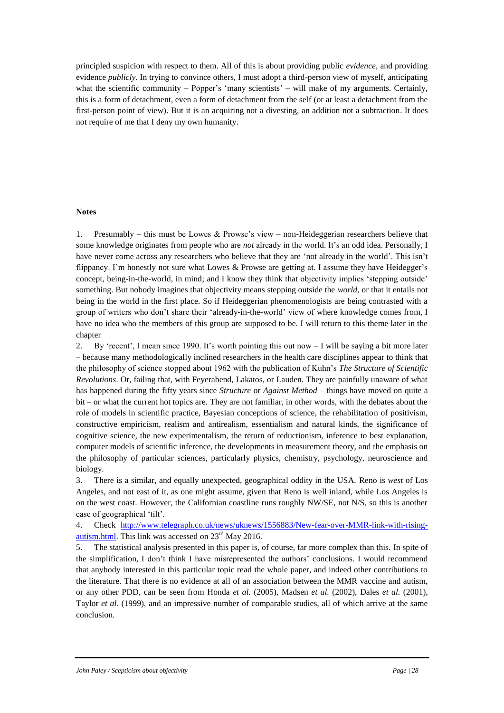principled suspicion with respect to them. All of this is about providing public *evidence*, and providing evidence *publicly*. In trying to convince others, I must adopt a third-person view of myself, anticipating what the scientific community – Popper's 'many scientists' – will make of my arguments. Certainly, this is a form of detachment, even a form of detachment from the self (or at least a detachment from the first-person point of view). But it is an acquiring not a divesting, an addition not a subtraction. It does not require of me that I deny my own humanity.

## **Notes**

1. Presumably – this must be Lowes & Prowse's view – non-Heideggerian researchers believe that some knowledge originates from people who are *not* already in the world. It's an odd idea. Personally, I have never come across any researchers who believe that they are 'not already in the world'. This isn't flippancy. I'm honestly not sure what Lowes & Prowse are getting at. I assume they have Heidegger's concept, being-in-the-world, in mind; and I know they think that objectivity implies 'stepping outside' something. But nobody imagines that objectivity means stepping outside the *world*, or that it entails not being in the world in the first place. So if Heideggerian phenomenologists are being contrasted with a group of writers who don't share their 'already-in-the-world' view of where knowledge comes from, I have no idea who the members of this group are supposed to be. I will return to this theme later in the chapter

2. By 'recent', I mean since 1990. It's worth pointing this out now – I will be saying a bit more later – because many methodologically inclined researchers in the health care disciplines appear to think that the philosophy of science stopped about 1962 with the publication of Kuhn's *The Structure of Scientific Revolutions*. Or, failing that, with Feyerabend, Lakatos, or Lauden. They are painfully unaware of what has happened during the fifty years since *Structure* or *Against Method* – things have moved on quite a bit – or what the current hot topics are. They are not familiar, in other words, with the debates about the role of models in scientific practice, Bayesian conceptions of science, the rehabilitation of positivism, constructive empiricism, realism and antirealism, essentialism and natural kinds, the significance of cognitive science, the new experimentalism, the return of reductionism, inference to best explanation, computer models of scientific inference, the developments in measurement theory, and the emphasis on the philosophy of particular sciences, particularly physics, chemistry, psychology, neuroscience and biology.

3. There is a similar, and equally unexpected, geographical oddity in the USA. Reno is *west* of Los Angeles, and not east of it, as one might assume, given that Reno is well inland, while Los Angeles is on the west coast. However, the Californian coastline runs roughly NW/SE, not N/S, so this is another case of geographical 'tilt'.

4. Check [http://www.telegraph.co.uk/news/uknews/1556883/New-fear-over-MMR-link-with-rising](http://www.telegraph.co.uk/news/uknews/1556883/New-fear-over-MMR-link-with-rising-autism.html)[autism.html.](http://www.telegraph.co.uk/news/uknews/1556883/New-fear-over-MMR-link-with-rising-autism.html) This link was accessed on 23rd May 2016.

5. The statistical analysis presented in this paper is, of course, far more complex than this. In spite of the simplification, I don't think I have misrepresented the authors' conclusions. I would recommend that anybody interested in this particular topic read the whole paper, and indeed other contributions to the literature. That there is no evidence at all of an association between the MMR vaccine and autism, or any other PDD, can be seen from Honda *et al.* (2005), Madsen *et al.* (2002), Dales *et al.* (2001), Taylor *et al.* (1999), and an impressive number of comparable studies, all of which arrive at the same conclusion.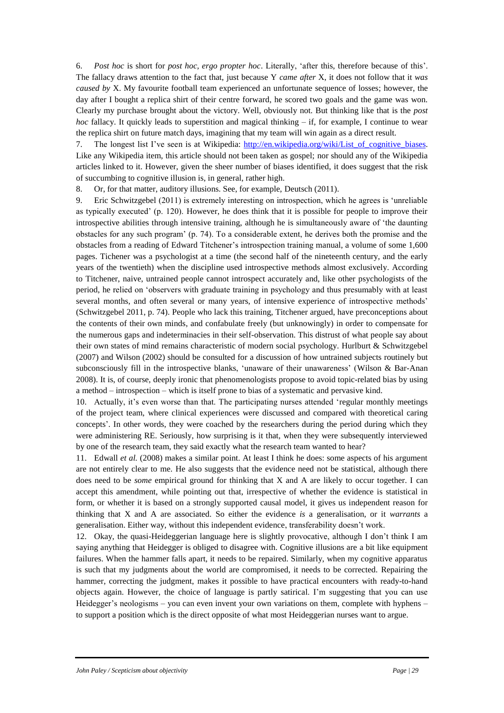6. *Post hoc* is short for *post hoc, ergo propter hoc*. Literally, 'after this, therefore because of this'. The fallacy draws attention to the fact that, just because Y *came after* X, it does not follow that it *was caused by* X. My favourite football team experienced an unfortunate sequence of losses; however, the day after I bought a replica shirt of their centre forward, he scored two goals and the game was won. Clearly my purchase brought about the victory. Well, obviously not. But thinking like that is the *post hoc* fallacy. It quickly leads to superstition and magical thinking – if, for example, I continue to wear the replica shirt on future match days, imagining that my team will win again as a direct result.

7. The longest list I've seen is at Wikipedia: http://en.wikipedia.org/wiki/List of cognitive biases. Like any Wikipedia item, this article should not been taken as gospel; nor should any of the Wikipedia articles linked to it. However, given the sheer number of biases identified, it does suggest that the risk of succumbing to cognitive illusion is, in general, rather high.

8. Or, for that matter, auditory illusions. See, for example, Deutsch (2011).

9. Eric Schwitzgebel (2011) is extremely interesting on introspection, which he agrees is 'unreliable as typically executed' (p. 120). However, he does think that it is possible for people to improve their introspective abilities through intensive training, although he is simultaneously aware of 'the daunting obstacles for any such program' (p. 74). To a considerable extent, he derives both the promise and the obstacles from a reading of Edward Titchener's introspection training manual, a volume of some 1,600 pages. Tichener was a psychologist at a time (the second half of the nineteenth century, and the early years of the twentieth) when the discipline used introspective methods almost exclusively. According to Titchener, naive, untrained people cannot introspect accurately and, like other psychologists of the period, he relied on 'observers with graduate training in psychology and thus presumably with at least several months, and often several or many years, of intensive experience of introspective methods' (Schwitzgebel 2011, p. 74). People who lack this training, Titchener argued, have preconceptions about the contents of their own minds, and confabulate freely (but unknowingly) in order to compensate for the numerous gaps and indeterminacies in their self-observation. This distrust of what people say about their own states of mind remains characteristic of modern social psychology. Hurlburt & Schwitzgebel (2007) and Wilson (2002) should be consulted for a discussion of how untrained subjects routinely but subconsciously fill in the introspective blanks, 'unaware of their unawareness' (Wilson & Bar-Anan 2008). It is, of course, deeply ironic that phenomenologists propose to avoid topic-related bias by using a method – introspection – which is itself prone to bias of a systematic and pervasive kind.

10. Actually, it's even worse than that. The participating nurses attended 'regular monthly meetings of the project team, where clinical experiences were discussed and compared with theoretical caring concepts'. In other words, they were coached by the researchers during the period during which they were administering RE. Seriously, how surprising is it that, when they were subsequently interviewed by one of the research team, they said exactly what the research team wanted to hear?

11. Edwall *et al.* (2008) makes a similar point. At least I think he does: some aspects of his argument are not entirely clear to me. He also suggests that the evidence need not be statistical, although there does need to be *some* empirical ground for thinking that X and A are likely to occur together. I can accept this amendment, while pointing out that, irrespective of whether the evidence is statistical in form, or whether it is based on a strongly supported causal model, it gives us independent reason for thinking that X and A are associated. So either the evidence *is* a generalisation, or it *warrants* a generalisation. Either way, without this independent evidence, transferability doesn't work.

12. Okay, the quasi-Heideggerian language here is slightly provocative, although I don't think I am saying anything that Heidegger is obliged to disagree with. Cognitive illusions are a bit like equipment failures. When the hammer falls apart, it needs to be repaired. Similarly, when my cognitive apparatus is such that my judgments about the world are compromised, it needs to be corrected. Repairing the hammer, correcting the judgment, makes it possible to have practical encounters with ready-to-hand objects again. However, the choice of language is partly satirical. I'm suggesting that you can use Heidegger's neologisms – you can even invent your own variations on them, complete with hyphens – to support a position which is the direct opposite of what most Heideggerian nurses want to argue.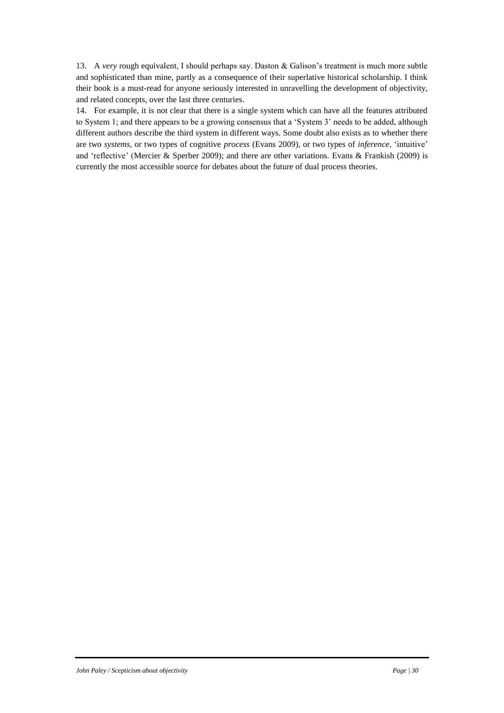13. A *very* rough equivalent, I should perhaps say. Daston & Galison's treatment is much more subtle and sophisticated than mine, partly as a consequence of their superlative historical scholarship. I think their book is a must-read for anyone seriously interested in unravelling the development of objectivity, and related concepts, over the last three centuries.

14. For example, it is not clear that there is a single system which can have all the features attributed to System 1; and there appears to be a growing consensus that a 'System 3' needs to be added, although different authors describe the third system in different ways. Some doubt also exists as to whether there are two *systems*, or two types of cognitive *process* (Evans 2009), or two types of *inference*, 'intuitive' and 'reflective' (Mercier & Sperber 2009); and there are other variations. Evans & Frankish (2009) is currently the most accessible source for debates about the future of dual process theories.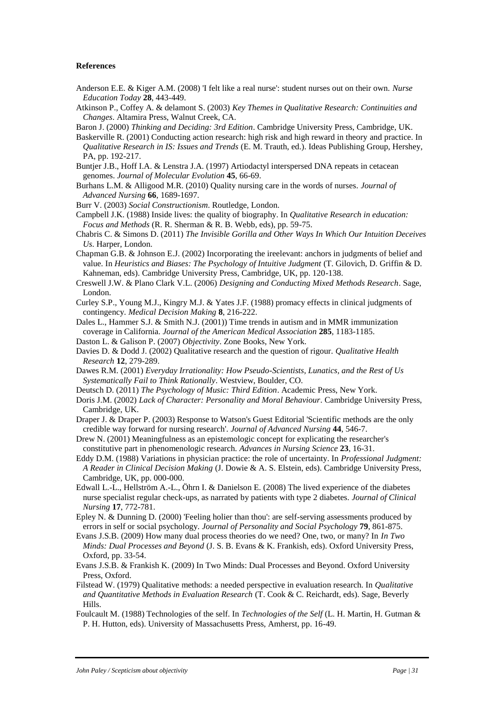#### **References**

- Anderson E.E. & Kiger A.M. (2008) <sup>T</sup> felt like a real nurse': student nurses out on their own. *Nurse Education Today* **28**, 443-449.
- Atkinson P., Coffey A. & delamont S. (2003) *Key Themes in Qualitative Research: Continuities and Changes*. Altamira Press, Walnut Creek, CA.

Baron J. (2000) *Thinking and Deciding: 3rd Edition*. Cambridge University Press, Cambridge, UK.

- Baskerville R. (2001) Conducting action research: high risk and high reward in theory and practice. In *Qualitative Research in IS: Issues and Trends* (E. M. Trauth, ed.). Ideas Publishing Group, Hershey, PA, pp. 192-217.
- Buntjer J.B., Hoff I.A. & Lenstra J.A. (1997) Artiodactyl interspersed DNA repeats in cetacean genomes. *Journal of Molecular Evolution* **45**, 66-69.
- Burhans L.M. & Alligood M.R. (2010) Quality nursing care in the words of nurses. *Journal of Advanced Nursing* **66**, 1689-1697.
- Burr V. (2003) *Social Constructionism*. Routledge, London.
- Campbell J.K. (1988) Inside lives: the quality of biography. In *Qualitative Research in education: Focus and Methods* (R. R. Sherman & R. B. Webb, eds), pp. 59-75.
- Chabris C. & Simons D. (2011) *The Invisible Gorilla and Other Ways In Which Our Intuition Deceives Us*. Harper, London.
- Chapman G.B. & Johnson E.J. (2002) Incorporating the ireelevant: anchors in judgments of belief and value. In *Heuristics and Biases: The Psychology of Intuitive Judgment* (T. Gilovich, D. Griffin & D. Kahneman, eds). Cambridge University Press, Cambridge, UK, pp. 120-138.
- Creswell J.W. & Plano Clark V.L. (2006) *Designing and Conducting Mixed Methods Research*. Sage, London.
- Curley S.P., Young M.J., Kingry M.J. & Yates J.F. (1988) promacy effects in clinical judgments of contingency. *Medical Decision Making* **8**, 216-222.
- Dales L., Hammer S.J. & Smith N.J. (2001)) Time trends in autism and in MMR immunization coverage in California. *Journal of the American Medical Association* **285**, 1183-1185.
- Daston L. & Galison P. (2007) *Objectivity*. Zone Books, New York.
- Davies D. & Dodd J. (2002) Qualitative research and the question of rigour. *Qualitative Health Research* **12**, 279-289.
- Dawes R.M. (2001) *Everyday Irrationality: How Pseudo-Scientists, Lunatics, and the Rest of Us Systematically Fail to Think Rationally*. Westview, Boulder, CO.
- Deutsch D. (2011) *The Psychology of Music: Third Edition*. Academic Press, New York.
- Doris J.M. (2002) *Lack of Character: Personality and Moral Behaviour*. Cambridge University Press, Cambridge, UK.
- Draper J. & Draper P. (2003) Response to Watson's Guest Editorial 'Scientific methods are the only credible way forward for nursing research'. *Journal of Advanced Nursing* **44**, 546-7.
- Drew N. (2001) Meaningfulness as an epistemologic concept for explicating the researcher's constitutive part in phenomenologic research. *Advances in Nursing Science* **23**, 16-31.
- Eddy D.M. (1988) Variations in physician practice: the role of uncertainty. In *Professional Judgment: A Reader in Clinical Decision Making* (J. Dowie & A. S. Elstein, eds). Cambridge University Press, Cambridge, UK, pp. 000-000.
- Edwall L.-L., Hellström A.-L., Öhrn I. & Danielson E. (2008) The lived experience of the diabetes nurse specialist regular check-ups, as narrated by patients with type 2 diabetes. *Journal of Clinical Nursing* **17**, 772-781.
- Epley N. & Dunning D. (2000) 'Feeling holier than thou': are self-serving assessments produced by errors in self or social psychology. *Journal of Personality and Social Psychology* **79**, 861-875.
- Evans J.S.B. (2009) How many dual process theories do we need? One, two, or many? In *In Two Minds: Dual Processes and Beyond* (J. S. B. Evans & K. Frankish, eds). Oxford University Press, Oxford, pp. 33-54.
- Evans J.S.B. & Frankish K. (2009) In Two Minds: Dual Processes and Beyond. Oxford University Press, Oxford.
- Filstead W. (1979) Qualitative methods: a needed perspective in evaluation research. In *Qualitative and Quantitative Methods in Evaluation Research* (T. Cook & C. Reichardt, eds). Sage, Beverly Hills.
- Foulcault M. (1988) Technologies of the self. In *Technologies of the Self* (L. H. Martin, H. Gutman & P. H. Hutton, eds). University of Massachusetts Press, Amherst, pp. 16-49.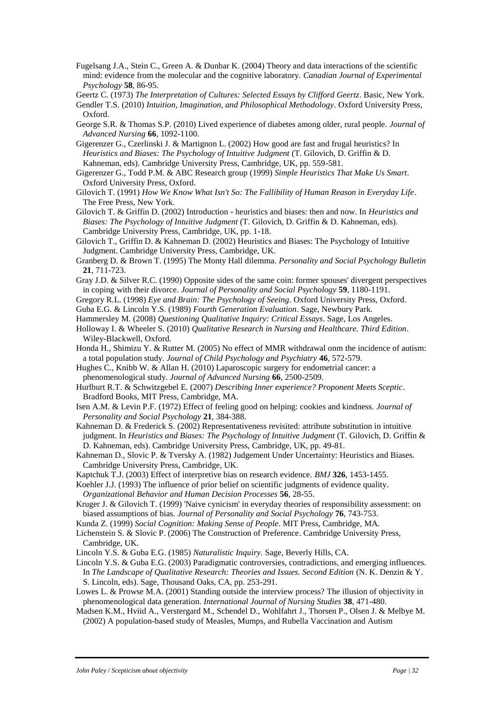- Fugelsang J.A., Stein C., Green A. & Dunbar K. (2004) Theory and data interactions of the scientific mind: evidence from the molecular and the cognitive laboratory. *Canadian Journal of Experimental Psychology* **58**, 86-95.
- Geertz C. (1973) *The Interpretation of Cultures: Selected Essays by Clifford Geertz*. Basic, New York.
- Gendler T.S. (2010) *Intuition, Imagination, and Philosophical Methodology*. Oxford University Press, Oxford.
- George S.R. & Thomas S.P. (2010) Lived experience of diabetes among older, rural people. *Journal of Advanced Nursing* **66**, 1092-1100.
- Gigerenzer G., Czerlinski J. & Martignon L. (2002) How good are fast and frugal heuristics? In *Heuristics and Biases: The Psychology of Intuitive Judgment* (T. Gilovich, D. Griffin & D. Kahneman, eds). Cambridge University Press, Cambridge, UK, pp. 559-581.
- Gigerenzer G., Todd P.M. & ABC Research group (1999) *Simple Heuristics That Make Us Smart*. Oxford University Press, Oxford.
- Gilovich T. (1991) *How We Know What Isn't So: The Fallibility of Human Reason in Everyday Life*. The Free Press, New York.
- Gilovich T. & Griffin D. (2002) Introduction heuristics and biases: then and now. In *Heuristics and Biases: The Psychology of Intuitive Judgment* (T. Gilovich, D. Griffin & D. Kahneman, eds). Cambridge University Press, Cambridge, UK, pp. 1-18.
- Gilovich T., Griffin D. & Kahneman D. (2002) Heuristics and Biases: The Psychology of Intuitive Judgment. Cambridge University Press, Cambridge, UK.
- Granberg D. & Brown T. (1995) The Monty Hall dilemma. *Personality and Social Psychology Bulletin* **21**, 711-723.
- Gray J.D. & Silver R.C. (1990) Opposite sides of the same coin: former spouses' divergent perspectives in coping with their divorce. *Journal of Personality and Social Psychology* **59**, 1180-1191.
- Gregory R.L. (1998) *Eye and Brain: The Psychology of Seeing*. Oxford University Press, Oxford.
- Guba E.G. & Lincoln Y.S. (1989) *Fourth Generation Evaluation*. Sage, Newbury Park.
- Hammersley M. (2008) *Questioning Qualitative Inquiry: Critical Essays*. Sage, Los Angeles.
- Holloway I. & Wheeler S. (2010) *Qualitative Research in Nursing and Healthcare. Third Edition*. Wiley-Blackwell, Oxford.
- Honda H., Shimizu Y. & Rutter M. (2005) No effect of MMR withdrawal onm the incidence of autism: a total population study. *Journal of Child Psychology and Psychiatry* **46**, 572-579.
- Hughes C., Knibb W. & Allan H. (2010) Laparoscopic surgery for endometrial cancer: a phenomenological study. *Journal of Advanced Nursing* **66**, 2500-2509.
- Hurlburt R.T. & Schwitzgebel E. (2007) *Describing Inner experience? Proponent Meets Sceptic*. Bradford Books, MIT Press, Cambridge, MA.
- Isen A.M. & Levin P.F. (1972) Effect of feeling good on helping: cookies and kindness. *Journal of Personality and Social Psychology* **21**, 384-388.
- Kahneman D. & Frederick S. (2002) Representativeness revisited: attribute substitution in intuitive judgment. In *Heuristics and Biases: The Psychology of Intuitive Judgment* (T. Gilovich, D. Griffin & D. Kahneman, eds). Cambridge University Press, Cambridge, UK, pp. 49-81.
- Kahneman D., Slovic P. & Tversky A. (1982) Judgement Under Uncertainty: Heuristics and Biases. Cambridge University Press, Cambridge, UK.
- Kaptchuk T.J. (2003) Effect of interpretive bias on research evidence. *BMJ* **326**, 1453-1455.
- Koehler J.J. (1993) The influence of prior belief on scientific judgments of evidence quality. *Organizational Behavior and Human Decision Processes* **56**, 28-55.
- Kruger J. & Gilovich T. (1999) 'Naive cynicism' in everyday theories of responsibility assessment: on biased assumptions of bias. *Journal of Personality and Social Psychology* **76**, 743-753.
- Kunda Z. (1999) *Social Cognition: Making Sense of People*. MIT Press, Cambridge, MA.
- Lichenstein S. & Slovic P. (2006) The Construction of Preference. Cambridge University Press, Cambridge, UK.
- Lincoln Y.S. & Guba E.G. (1985) *Naturalistic Inquiry*. Sage, Beverly Hills, CA.
- Lincoln Y.S. & Guba E.G. (2003) Paradigmatic controversies, contradictions, and emerging influences. In *The Landscape of Qualitative Research: Theories and Issues. Second Edition* (N. K. Denzin & Y. S. Lincoln, eds). Sage, Thousand Oaks, CA, pp. 253-291.
- Lowes L. & Prowse M.A. (2001) Standing outside the interview process? The illusion of objectivity in phenomenological data generation. *International Journal of Nursing Studies* **38**, 471-480.
- Madsen K.M., Hviid A., Verstergard M., Schendel D., Wohlfahrt J., Thorsen P., Olsen J. & Melbye M. (2002) A population-based study of Measles, Mumps, and Rubella Vaccination and Autism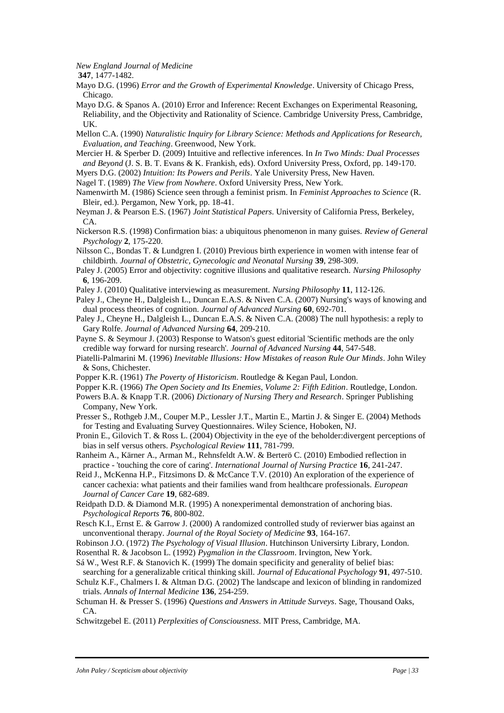*New England Journal of Medicine*

**347**, 1477-1482.

- Mayo D.G. (1996) *Error and the Growth of Experimental Knowledge*. University of Chicago Press, Chicago.
- Mayo D.G. & Spanos A. (2010) Error and Inference: Recent Exchanges on Experimental Reasoning, Reliability, and the Objectivity and Rationality of Science. Cambridge University Press, Cambridge, UK.
- Mellon C.A. (1990) *Naturalistic Inquiry for Library Science: Methods and Applications for Research, Evaluation, and Teaching*. Greenwood, New York.
- Mercier H. & Sperber D. (2009) Intuitive and reflective inferences. In *In Two Minds: Dual Processes and Beyond* (J. S. B. T. Evans & K. Frankish, eds). Oxford University Press, Oxford, pp. 149-170.
- Myers D.G. (2002) *Intuition: Its Powers and Perils*. Yale University Press, New Haven.
- Nagel T. (1989) *The View from Nowhere*. Oxford University Press, New York.
- Namenwirth M. (1986) Science seen through a feminist prism. In *Feminist Approaches to Science* (R. Bleir, ed.). Pergamon, New York, pp. 18-41.
- Neyman J. & Pearson E.S. (1967) *Joint Statistical Papers*. University of California Press, Berkeley, CA.
- Nickerson R.S. (1998) Confirmation bias: a ubiquitous phenomenon in many guises. *Review of General Psychology* **2**, 175-220.
- Nilsson C., Bondas T. & Lundgren I. (2010) Previous birth experience in women with intense fear of childbirth. *Journal of Obstetric, Gynecologic and Neonatal Nursing* **39**, 298-309.
- Paley J. (2005) Error and objectivity: cognitive illusions and qualitative research. *Nursing Philosophy* **6**, 196-209.
- Paley J. (2010) Qualitative interviewing as measurement. *Nursing Philosophy* **11**, 112-126.
- Paley J., Cheyne H., Dalgleish L., Duncan E.A.S. & Niven C.A. (2007) Nursing's ways of knowing and dual process theories of cognition. *Journal of Advanced Nursing* **60**, 692-701.
- Paley J., Cheyne H., Dalgleish L., Duncan E.A.S. & Niven C.A. (2008) The null hypothesis: a reply to Gary Rolfe. *Journal of Advanced Nursing* **64**, 209-210.
- Payne S. & Seymour J. (2003) Response to Watson's guest editorial 'Scientific methods are the only credible way forward for nursing research'. *Journal of Advanced Nursing* **44**, 547-548.
- Piatelli-Palmarini M. (1996) *Inevitable Illusions: How Mistakes of reason Rule Our Minds*. John Wiley & Sons, Chichester.
- Popper K.R. (1961) *The Poverty of Historicism*. Routledge & Kegan Paul, London.
- Popper K.R. (1966) *The Open Society and Its Enemies, Volume 2: Fifth Edition*. Routledge, London.
- Powers B.A. & Knapp T.R. (2006) *Dictionary of Nursing Thery and Research*. Springer Publishing Company, New York.
- Presser S., Rothgeb J.M., Couper M.P., Lessler J.T., Martin E., Martin J. & Singer E. (2004) Methods for Testing and Evaluating Survey Questionnaires. Wiley Science, Hoboken, NJ.
- Pronin E., Gilovich T. & Ross L. (2004) Objectivity in the eye of the beholder:divergent perceptions of bias in self versus others. *Psychological Review* **111**, 781-799.
- Ranheim A., Kärner A., Arman M., Rehnsfeldt A.W. & Berterö C. (2010) Embodied reflection in practice - 'touching the core of caring'. *International Journal of Nursing Practice* **16**, 241-247.
- Reid J., McKenna H.P., Fitzsimons D. & McCance T.V. (2010) An exploration of the experience of cancer cachexia: what patients and their families wand from healthcare professionals. *European Journal of Cancer Care* **19**, 682-689.
- Reidpath D.D. & Diamond M.R. (1995) A nonexperimental demonstration of anchoring bias. *Psychological Reports* **76**, 800-802.
- Resch K.I., Ernst E. & Garrow J. (2000) A randomized controlled study of revierwer bias against an unconventional therapy. *Journal of the Royal Society of Medicine* **93**, 164-167.
- Robinson J.O. (1972) *The Psychology of Visual Illusion*. Hutchinson Universirty Library, London.
- Rosenthal R. & Jacobson L. (1992) *Pygmalion in the Classroom*. Irvington, New York.
- Sá W., West R.F. & Stanovich K. (1999) The domain specificity and generality of belief bias: searching for a generalizable critical thinking skill. *Journal of Educational Psychology* **91**, 497-510.
- Schulz K.F., Chalmers I. & Altman D.G. (2002) The landscape and lexicon of blinding in randomized trials. *Annals of Internal Medicine* **136**, 254-259.
- Schuman H. & Presser S. (1996) *Questions and Answers in Attitude Surveys*. Sage, Thousand Oaks, CA.
- Schwitzgebel E. (2011) *Perplexities of Consciousness*. MIT Press, Cambridge, MA.